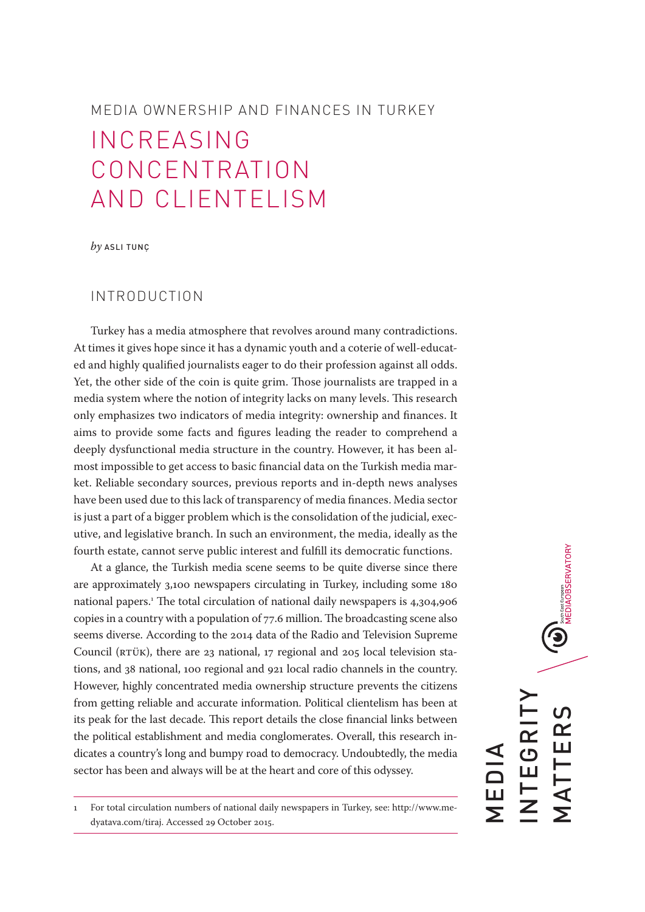# MEDIA OWNERSHIP AND FINANCES IN TURKEY

# INCREASING CONCENTRATION AND CLIENTELISM

*by* ASLI TUNÇ

# INTRODUCTION

Turkey has a media atmosphere that revolves around many contradictions. At times it gives hope since it has a dynamic youth and a coterie of well-educated and highly qualified journalists eager to do their profession against all odds. Yet, the other side of the coin is quite grim. Those journalists are trapped in a media system where the notion of integrity lacks on many levels. This research only emphasizes two indicators of media integrity: ownership and finances. It aims to provide some facts and figures leading the reader to comprehend a deeply dysfunctional media structure in the country. However, it has been almost impossible to get access to basic financial data on the Turkish media market. Reliable secondary sources, previous reports and in-depth news analyses have been used due to this lack of transparency of media finances. Media sector is just a part of a bigger problem which is the consolidation of the judicial, executive, and legislative branch. In such an environment, the media, ideally as the fourth estate, cannot serve public interest and fulfill its democratic functions.

At a glance, the Turkish media scene seems to be quite diverse since there are approximately 3,100 newspapers circulating in Turkey, including some 180 national papers.1 The total circulation of national daily newspapers is 4,304,906 copies in a country with a population of 77.6 million. The broadcasting scene also seems diverse. According to the 2014 data of the Radio and Television Supreme Council (RTÜK), there are 23 national, 17 regional and 205 local television stations, and 38 national, 100 regional and 921 local radio channels in the country. However, highly concentrated media ownership structure prevents the citizens from getting reliable and accurate information. Political clientelism has been at its peak for the last decade. This report details the close financial links between the political establishment and media conglomerates. Overall, this research indicates a country's long and bumpy road to democracy. Undoubtedly, the media sector has been and always will be at the heart and core of this odyssey.

1 For total circulation numbers of national daily newspapers in Turkey, see: http://www.medyatava.com/tiraj. Accessed 29 October 2015.

**U** INTEGRITY MATTERS TTER NTEGRI MEDIA —<br>Г<br>Г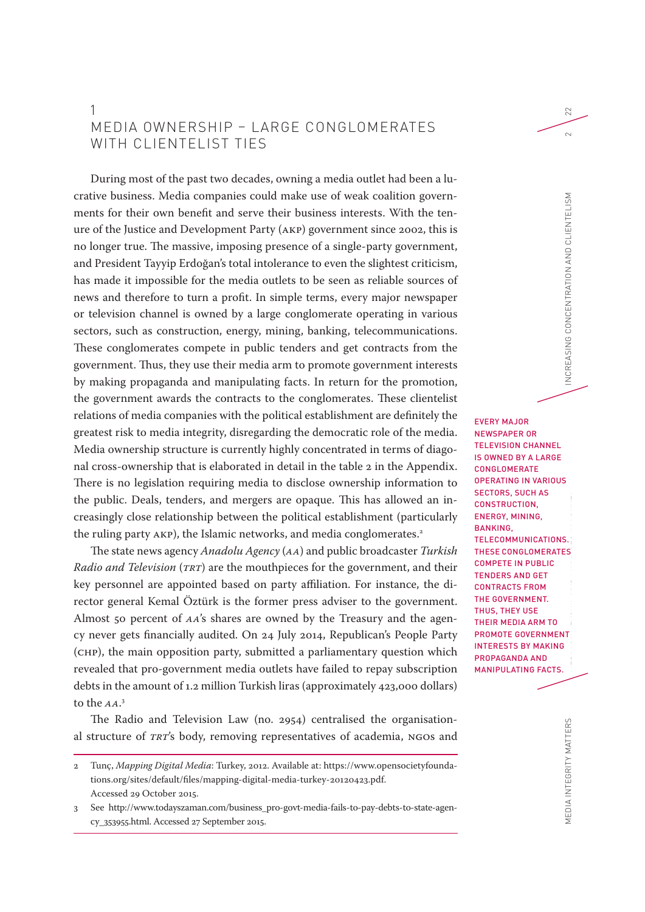# 1 MEDIA OWNERSHIP – LARGE CONGLOMERATES WITH CLIENTELIST TIES

During most of the past two decades, owning a media outlet had been a lucrative business. Media companies could make use of weak coalition governments for their own benefit and serve their business interests. With the tenure of the Justice and Development Party (AKP) government since 2002, this is no longer true. The massive, imposing presence of a single-party government, and President Tayyip Erdoğan's total intolerance to even the slightest criticism, has made it impossible for the media outlets to be seen as reliable sources of news and therefore to turn a profit. In simple terms, every major newspaper or television channel is owned by a large conglomerate operating in various sectors, such as construction, energy, mining, banking, telecommunications. These conglomerates compete in public tenders and get contracts from the government. Thus, they use their media arm to promote government interests by making propaganda and manipulating facts. In return for the promotion, the government awards the contracts to the conglomerates. These clientelist relations of media companies with the political establishment are definitely the greatest risk to media integrity, disregarding the democratic role of the media. Media ownership structure is currently highly concentrated in terms of diagonal cross-ownership that is elaborated in detail in the table 2 in the Appendix. There is no legislation requiring media to disclose ownership information to the public. Deals, tenders, and mergers are opaque. This has allowed an increasingly close relationship between the political establishment (particularly the ruling party AKP), the Islamic networks, and media conglomerates.<sup>2</sup>

The state news agency *Anadolu Agency* (*AA*) and public broadcaster *Turkish Radio and Television* (*TRT*) are the mouthpieces for the government, and their key personnel are appointed based on party affiliation. For instance, the director general Kemal Öztürk is the former press adviser to the government. Almost 50 percent of *AA*'s shares are owned by the Treasury and the agency never gets financially audited. On 24 July 2014, Republican's People Party (CHP), the main opposition party, submitted a parliamentary question which revealed that pro-government media outlets have failed to repay subscription debts in the amount of 1.2 million Turkish liras (approximately 423,000 dollars) to the *AA*. 3

The Radio and Television Law (no. 2954) centralised the organisational structure of *TRT*'s body, removing representatives of academia, NGOs and

MEDIA INTEGRITY MATTERS MEDIA INTEGRITY MATTERS MEDIA OWNERSHIP AND FINANCES IN TURKEY INCREASING CONCENTRATION AND CLIENTELISM AND FINANCENTRATION AND FINANCES IN TURKEY AND FINANCE AND FINANCENTRATION AND FINANCES AND FI EVERY MAJOR NEWSPAPER OR TELEVISION CHANNEL IS OWNED BY A LARGE **CONGLOMERATE** OPERATING IN VARIOUS SECTORS, SUCH AS CONSTRUCTION, ENERGY, MINING, BANKING, TELECOMMUNICATIONS. THESE CONGLOMERATES COMPETE IN PUBLIC TENDERS AND GET CONTRACTS FROM THE GOVERNMENT. THUS, THEY USE THEIR MEDIA ARM TO PROMOTE GOVERNMENT INTERESTS BY MAKING PROPAGANDA AND MANIPULATING FACTS.

22

 $\sim$ 

MEDIA INTEGRITY MATTERS

<sup>2</sup> Tunç, *Mapping Digital Media*: Turkey, 2012. Available at: https://www.opensocietyfoundations.org/sites/default/files/mapping-digital-media-turkey-20120423.pdf. Accessed 29 October 2015.

<sup>3</sup> See http://www.todayszaman.com/business\_pro-govt-media-fails-to-pay-debts-to-state-agency\_353955.html. Accessed 27 September 2015.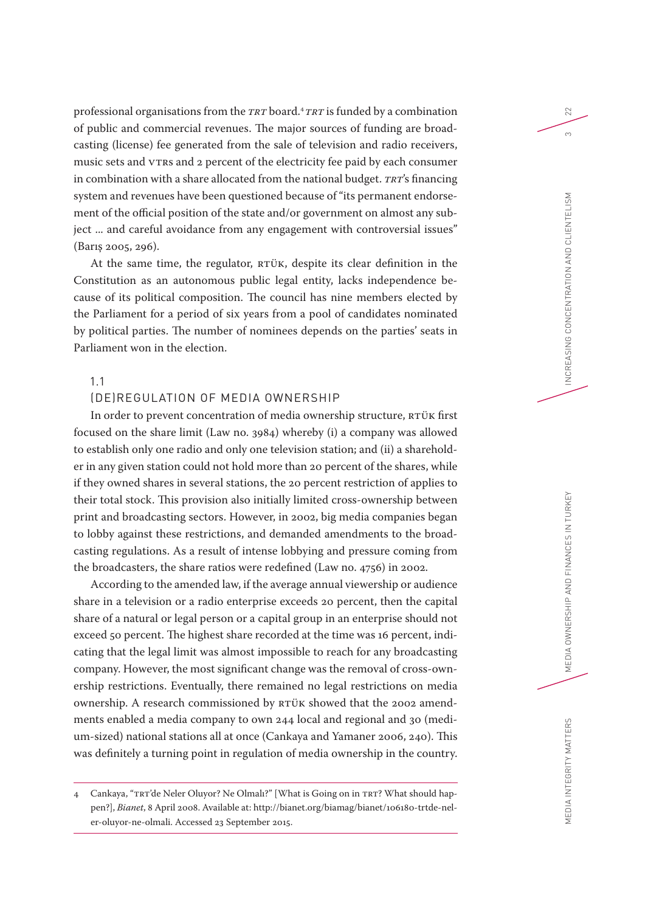professional organisations from the *TRT* board. <sup>4</sup>*TRT* is funded by a combination of public and commercial revenues. The major sources of funding are broadcasting (license) fee generated from the sale of television and radio receivers, music sets and VTRs and 2 percent of the electricity fee paid by each consumer in combination with a share allocated from the national budget. *TRT*'s financing system and revenues have been questioned because of "its permanent endorsement of the official position of the state and/or government on almost any subject ... and careful avoidance from any engagement with controversial issues" (Barış 2005, 296).

At the same time, the regulator, RTÜK, despite its clear definition in the Constitution as an autonomous public legal entity, lacks independence because of its political composition. The council has nine members elected by the Parliament for a period of six years from a pool of candidates nominated by political parties. The number of nominees depends on the parties' seats in Parliament won in the election.

# 1.1

# (DE)REGULATION OF MEDIA OWNERSHIP

In order to prevent concentration of media ownership structure, RTÜK first focused on the share limit (Law no. 3984) whereby (i) a company was allowed to establish only one radio and only one television station; and (ii) a shareholder in any given station could not hold more than 20 percent of the shares, while if they owned shares in several stations, the 20 percent restriction of applies to their total stock. This provision also initially limited cross-ownership between print and broadcasting sectors. However, in 2002, big media companies began to lobby against these restrictions, and demanded amendments to the broadcasting regulations. As a result of intense lobbying and pressure coming from the broadcasters, the share ratios were redefined (Law no. 4756) in 2002.

According to the amended law, if the average annual viewership or audience share in a television or a radio enterprise exceeds 20 percent, then the capital share of a natural or legal person or a capital group in an enterprise should not exceed 50 percent. The highest share recorded at the time was 16 percent, indicating that the legal limit was almost impossible to reach for any broadcasting company. However, the most significant change was the removal of cross-ownership restrictions. Eventually, there remained no legal restrictions on media ownership. A research commissioned by RTÜK showed that the 2002 amendments enabled a media company to own 244 local and regional and 30 (medium-sized) national stations all at once (Cankaya and Yamaner 2006, 240). This was definitely a turning point in regulation of media ownership in the country.

<sup>4</sup> Cankaya, "TRT'de Neler Oluyor? Ne Olmalı?" [What is Going on in TRT? What should happen?], *Bianet*, 8 April 2008. Available at: http://bianet.org/biamag/bianet/106180-trtde-neler-oluyor-ne-olmali. Accessed 23 September 2015.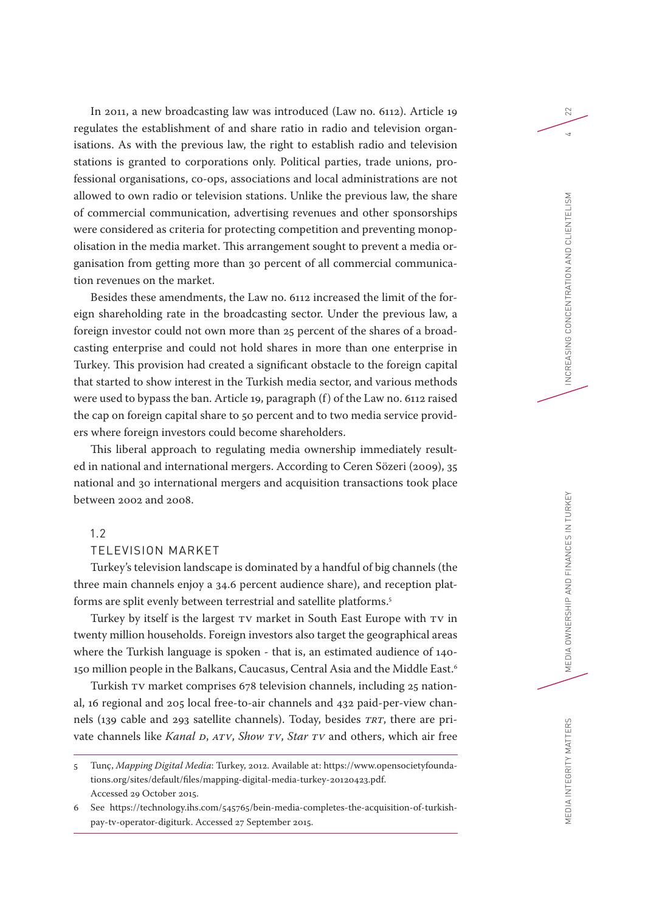In 2011, a new broadcasting law was introduced (Law no. 6112). Article 19 regulates the establishment of and share ratio in radio and television organisations. As with the previous law, the right to establish radio and television stations is granted to corporations only. Political parties, trade unions, professional organisations, co-ops, associations and local administrations are not allowed to own radio or television stations. Unlike the previous law, the share of commercial communication, advertising revenues and other sponsorships were considered as criteria for protecting competition and preventing monopolisation in the media market. This arrangement sought to prevent a media organisation from getting more than 30 percent of all commercial communication revenues on the market.

Besides these amendments, the Law no. 6112 increased the limit of the foreign shareholding rate in the broadcasting sector. Under the previous law, a foreign investor could not own more than 25 percent of the shares of a broadcasting enterprise and could not hold shares in more than one enterprise in Turkey. This provision had created a significant obstacle to the foreign capital that started to show interest in the Turkish media sector, and various methods were used to bypass the ban. Article 19, paragraph (f) of the Law no. 6112 raised the cap on foreign capital share to 50 percent and to two media service providers where foreign investors could become shareholders.

This liberal approach to regulating media ownership immediately resulted in national and international mergers. According to Ceren Sözeri (2009), 35 national and 30 international mergers and acquisition transactions took place between 2002 and 2008.

# 1.2

### TELEVISION MARKET

Turkey's television landscape is dominated by a handful of big channels (the three main channels enjoy a 34.6 percent audience share), and reception platforms are split evenly between terrestrial and satellite platforms.5

Turkey by itself is the largest TV market in South East Europe with TV in twenty million households. Foreign investors also target the geographical areas where the Turkish language is spoken - that is, an estimated audience of 140- 150 million people in the Balkans, Caucasus, Central Asia and the Middle East.<sup>6</sup>

Turkish TV market comprises 678 television channels, including 25 national, 16 regional and 205 local free-to-air channels and 432 paid-per-view channels (139 cable and 293 satellite channels). Today, besides *TRT*, there are private channels like *Kanal D*, *ATV*, *Show TV*, *Star TV* and others, which air free

<sup>5</sup> Tunç, *Mapping Digital Media*: Turkey, 2012. Available at: https://www.opensocietyfoundations.org/sites/default/files/mapping-digital-media-turkey-20120423.pdf. Accessed 29 October 2015.

<sup>6</sup> See https://technology.ihs.com/545765/bein-media-completes-the-acquisition-of-turkishpay-tv-operator-digiturk. Accessed 27 September 2015.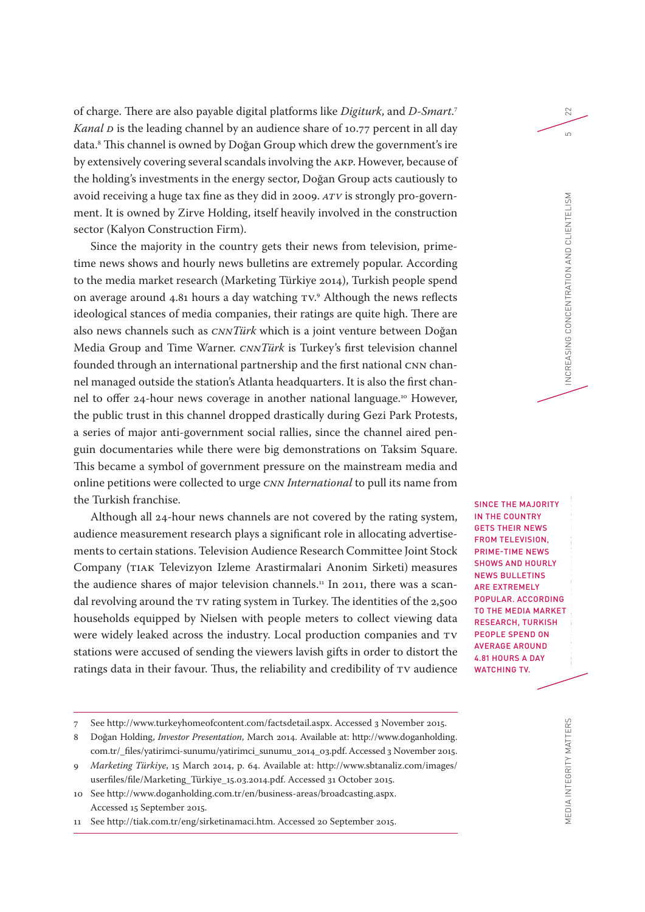of charge. There are also payable digital platforms like *Digiturk*, and *D-Smart*. 7 *Kanal p* is the leading channel by an audience share of 10.77 percent in all day data.8 This channel is owned by Doğan Group which drew the government's ire by extensively covering several scandals involving the AKP. However, because of the holding's investments in the energy sector, Doğan Group acts cautiously to avoid receiving a huge tax fine as they did in 2009. *ATV* is strongly pro-government. It is owned by Zirve Holding, itself heavily involved in the construction sector (Kalyon Construction Firm).

Since the majority in the country gets their news from television, primetime news shows and hourly news bulletins are extremely popular. According to the media market research (Marketing Türkiye 2014), Turkish people spend on average around 4.81 hours a day watching TV. 9 Although the news reflects ideological stances of media companies, their ratings are quite high. There are also news channels such as *CNNTürk* which is a joint venture between Doğan Media Group and Time Warner. *CNNTürk* is Turkey's first television channel founded through an international partnership and the first national CNN channel managed outside the station's Atlanta headquarters. It is also the first channel to offer 24-hour news coverage in another national language.<sup>10</sup> However, the public trust in this channel dropped drastically during Gezi Park Protests, a series of major anti-government social rallies, since the channel aired penguin documentaries while there were big demonstrations on Taksim Square. This became a symbol of government pressure on the mainstream media and online petitions were collected to urge *CNN International* to pull its name from the Turkish franchise.

Although all 24-hour news channels are not covered by the rating system, audience measurement research plays a significant role in allocating advertisements to certain stations. Television Audience Research Committee Joint Stock Company (TIAK Televizyon Izleme Arastirmalari Anonim Sirketi) measures the audience shares of major television channels.<sup>11</sup> In 2011, there was a scandal revolving around the TV rating system in Turkey. The identities of the 2,500 households equipped by Nielsen with people meters to collect viewing data were widely leaked across the industry. Local production companies and TV stations were accused of sending the viewers lavish gifts in order to distort the ratings data in their favour. Thus, the reliability and credibility of TV audience SINCE THE MAJORITY IN THE COUNTRY GETS THEIR NEWS FROM TELEVISION, PRIME-TIME NEWS SHOWS AND HOURLY NEWS BULLETINS ARE EXTREMELY POPULAR. ACCORDING TO THE MEDIA MARKET RESEARCH, TURKISH PEOPLE SPEND ON AVERAGE AROUND 4.81 HOURS A DAY WATCHING TV.

22

 $\overline{5}$ 

MEDIA INTEGRITY MATTERS

<sup>7</sup> See http://www.turkeyhomeofcontent.com/factsdetail.aspx. Accessed 3 November 2015.

<sup>8</sup> Doğan Holding, *Investor Presentation*, March 2014. Available at: http://www.doganholding. com.tr/\_files/yatirimci-sunumu/yatirimci\_sunumu\_2014\_03.pdf. Accessed 3 November 2015.

<sup>9</sup> *Marketing Türkiye*, 15 March 2014, p. 64. Available at: http://www.sbtanaliz.com/images/ userfiles/file/Marketing\_Türkiye\_15.03.2014.pdf. Accessed 31 October 2015.

<sup>10</sup> See http://www.doganholding.com.tr/en/business-areas/broadcasting.aspx. Accessed 15 September 2015.

<sup>11</sup> See http://tiak.com.tr/eng/sirketinamaci.htm. Accessed 20 September 2015.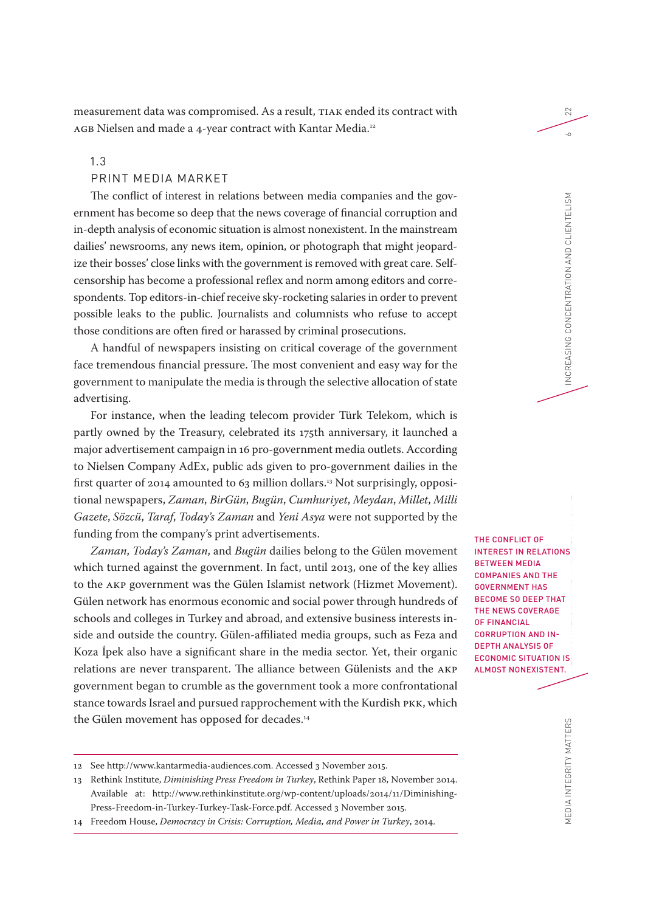measurement data was compromised. As a result, TIAK ended its contract with AGB Nielsen and made a 4-year contract with Kantar Media.<sup>12</sup>

1.3

### PRINT MEDIA MARKET

The conflict of interest in relations between media companies and the government has become so deep that the news coverage of financial corruption and in-depth analysis of economic situation is almost nonexistent. In the mainstream dailies' newsrooms, any news item, opinion, or photograph that might jeopardize their bosses' close links with the government is removed with great care. Selfcensorship has become a professional reflex and norm among editors and correspondents. Top editors-in-chief receive sky-rocketing salaries in order to prevent possible leaks to the public. Journalists and columnists who refuse to accept those conditions are often fired or harassed by criminal prosecutions.

A handful of newspapers insisting on critical coverage of the government face tremendous financial pressure. The most convenient and easy way for the government to manipulate the media is through the selective allocation of state advertising.

For instance, when the leading telecom provider Türk Telekom, which is partly owned by the Treasury, celebrated its 175th anniversary, it launched a major advertisement campaign in 16 pro-government media outlets. According to Nielsen Company AdEx, public ads given to pro-government dailies in the first quarter of 2014 amounted to 63 million dollars.13 Not surprisingly, oppositional newspapers, *Zaman*, *BirGün*, *Bugün*, *Cumhuriyet*, *Meydan*, *Millet*, *Milli Gazete*, *Sözcü*, *Taraf*, *Today's Zaman* and *Yeni Asya* were not supported by the funding from the company's print advertisements.

*Zaman*, *Today's Zaman*, and *Bugün* dailies belong to the Gülen movement which turned against the government. In fact, until 2013, one of the key allies to the AKP government was the Gülen Islamist network (Hizmet Movement). Gülen network has enormous economic and social power through hundreds of schools and colleges in Turkey and abroad, and extensive business interests inside and outside the country. Gülen-affiliated media groups, such as Feza and Koza İpek also have a significant share in the media sector. Yet, their organic relations are never transparent. The alliance between Gülenists and the AKP government began to crumble as the government took a more confrontational stance towards Israel and pursued rapprochement with the Kurdish PKK, which the Gülen movement has opposed for decades.<sup>14</sup>

MEDIA INTEGRITY MATTERS MEDIA INTEGRITY MATTERS MEDIA OWNERSHIP AND FINANCES IN TURKEY INCREASING CONCENTRATION AND CLIENTELISM 6 THE CONFLICT OF INTEREST IN RELATIONS BETWEEN MEDIA COMPANIES AND THE GOVERNMENT HAS BECOME SO DEEP THAT THE NEWS COVERAGE OF FINANCIAL CORRUPTION AND IN-DEPTH ANALYSIS OF ECONOMIC SITUATION IS ALMOST NONEXISTENT.

<sup>12</sup> See http://www.kantarmedia-audiences.com. Accessed 3 November 2015.

<sup>13</sup> Rethink Institute, *Diminishing Press Freedom in Turkey*, Rethink Paper 18, November 2014. Available at: http://www.rethinkinstitute.org/wp-content/uploads/2014/11/Diminishing-Press-Freedom-in-Turkey-Turkey-Task-Force.pdf. Accessed 3 November 2015.

<sup>14</sup> Freedom House, *Democracy in Crisis: Corruption, Media, and Power in Turkey*, 2014.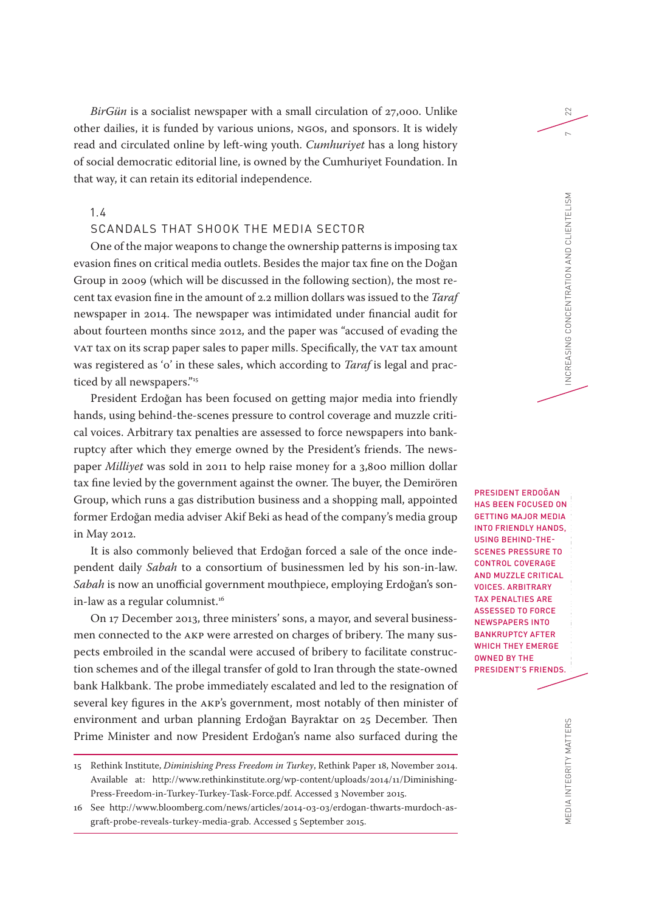*BirGün* is a socialist newspaper with a small circulation of 27,000. Unlike other dailies, it is funded by various unions, NGOs, and sponsors. It is widely read and circulated online by left-wing youth. *Cumhuriyet* has a long history of social democratic editorial line, is owned by the Cumhuriyet Foundation. In that way, it can retain its editorial independence.

# 1.4

# SCANDALS THAT SHOOK THE MEDIA SECTOR

One of the major weapons to change the ownership patterns is imposing tax evasion fines on critical media outlets. Besides the major tax fine on the Doğan Group in 2009 (which will be discussed in the following section), the most recent tax evasion fine in the amount of 2.2 million dollars was issued to the *Taraf* newspaper in 2014. The newspaper was intimidated under financial audit for about fourteen months since 2012, and the paper was "accused of evading the VAT tax on its scrap paper sales to paper mills. Specifically, the VAT tax amount was registered as '0' in these sales, which according to *Taraf* is legal and practiced by all newspapers."<sup>15</sup>

President Erdoğan has been focused on getting major media into friendly hands, using behind-the-scenes pressure to control coverage and muzzle critical voices. Arbitrary tax penalties are assessed to force newspapers into bankruptcy after which they emerge owned by the President's friends. The newspaper *Milliyet* was sold in 2011 to help raise money for a 3,800 million dollar tax fine levied by the government against the owner. The buyer, the Demirören Group, which runs a gas distribution business and a shopping mall, appointed former Erdoğan media adviser Akif Beki as head of the company's media group in May 2012.

It is also commonly believed that Erdoğan forced a sale of the once independent daily *Sabah* to a consortium of businessmen led by his son-in-law. *Sabah* is now an unofficial government mouthpiece, employing Erdoğan's sonin-law as a regular columnist.<sup>16</sup>

On 17 December 2013, three ministers' sons, a mayor, and several businessmen connected to the AKP were arrested on charges of bribery. The many suspects embroiled in the scandal were accused of bribery to facilitate construction schemes and of the illegal transfer of gold to Iran through the state-owned bank Halkbank. The probe immediately escalated and led to the resignation of several key figures in the AKP's government, most notably of then minister of environment and urban planning Erdoğan Bayraktar on 25 December. Then Prime Minister and now President Erdoğan's name also surfaced during the

15 Rethink Institute, *Diminishing Press Freedom in Turkey*, Rethink Paper 18, November 2014. Available at: http://www.rethinkinstitute.org/wp-content/uploads/2014/11/Diminishing-Press-Freedom-in-Turkey-Turkey-Task-Force.pdf. Accessed 3 November 2015.

16 See http://www.bloomberg.com/news/articles/2014-03-03/erdogan-thwarts-murdoch-asgraft-probe-reveals-turkey-media-grab. Accessed 5 September 2015.

PRESIDENT ERDOĞAN HAS BEEN FOCUSED ON GETTING MAJOR MEDIA INTO FRIENDLY HANDS, USING BEHIND-THE-SCENES PRESSURE TO CONTROL COVERAGE AND MUZZLE CRITICAL VOICES. ARBITRARY TAX PENALTIES ARE ASSESSED TO FORCE NEWSPAPERS INTO BANKRUPTCY AFTER WHICH THEY EMERGE OWNED BY THE PRESIDENT'S FRIENDS.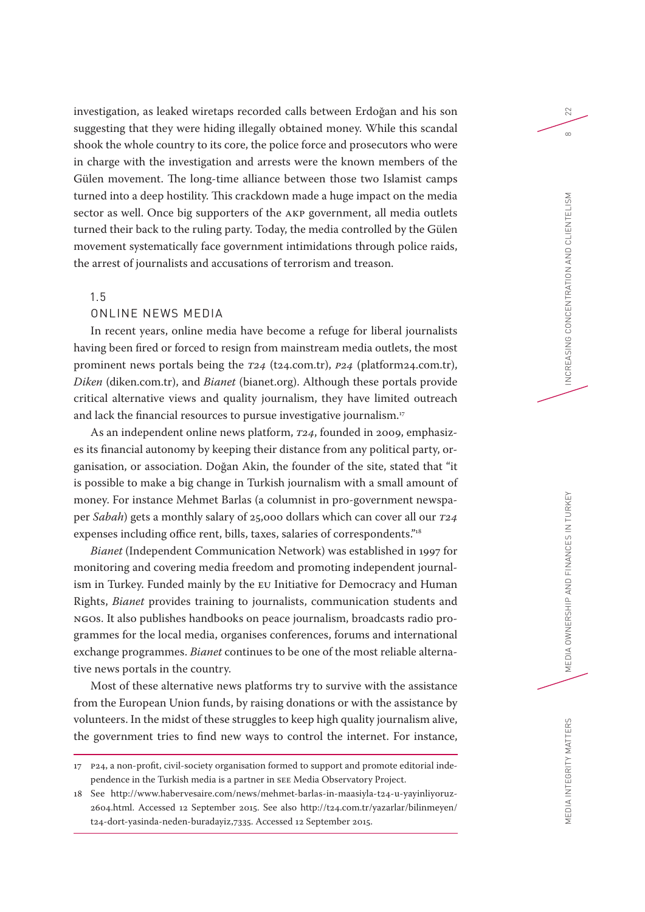investigation, as leaked wiretaps recorded calls between Erdoğan and his son suggesting that they were hiding illegally obtained money. While this scandal shook the whole country to its core, the police force and prosecutors who were in charge with the investigation and arrests were the known members of the Gülen movement. The long-time alliance between those two Islamist camps turned into a deep hostility. This crackdown made a huge impact on the media sector as well. Once big supporters of the AKP government, all media outlets turned their back to the ruling party. Today, the media controlled by the Gülen movement systematically face government intimidations through police raids, the arrest of journalists and accusations of terrorism and treason.

### 1.5

# ONLINE NEWS MEDIA

In recent years, online media have become a refuge for liberal journalists having been fired or forced to resign from mainstream media outlets, the most prominent news portals being the *T24* (t24.com.tr), *P24* (platform24.com.tr), *Diken* (diken.com.tr), and *Bianet* (bianet.org). Although these portals provide critical alternative views and quality journalism, they have limited outreach and lack the financial resources to pursue investigative journalism.<sup>17</sup>

As an independent online news platform, *T24*, founded in 2009, emphasizes its financial autonomy by keeping their distance from any political party, organisation, or association. Doğan Akin, the founder of the site, stated that "it is possible to make a big change in Turkish journalism with a small amount of money. For instance Mehmet Barlas (a columnist in pro-government newspaper *Sabah*) gets a monthly salary of 25,000 dollars which can cover all our *T24* expenses including office rent, bills, taxes, salaries of correspondents."18

*Bianet* (Independent Communication Network) was established in 1997 for monitoring and covering media freedom and promoting independent journalism in Turkey. Funded mainly by the EU Initiative for Democracy and Human Rights, *Bianet* provides training to journalists, communication students and NGOs. It also publishes handbooks on peace journalism, broadcasts radio programmes for the local media, organises conferences, forums and international exchange programmes. *Bianet* continues to be one of the most reliable alternative news portals in the country.

Most of these alternative news platforms try to survive with the assistance from the European Union funds, by raising donations or with the assistance by volunteers. In the midst of these struggles to keep high quality journalism alive, the government tries to find new ways to control the internet. For instance,

<sup>17</sup> P24, a non-profit, civil-society organisation formed to support and promote editorial independence in the Turkish media is a partner in SEE Media Observatory Project.

<sup>18</sup> See http://www.habervesaire.com/news/mehmet-barlas-in-maasiyla-t24-u-yayinliyoruz-2604.html. Accessed 12 September 2015. See also http://t24.com.tr/yazarlar/bilinmeyen/ t24-dort-yasinda-neden-buradayiz,7335. Accessed 12 September 2015.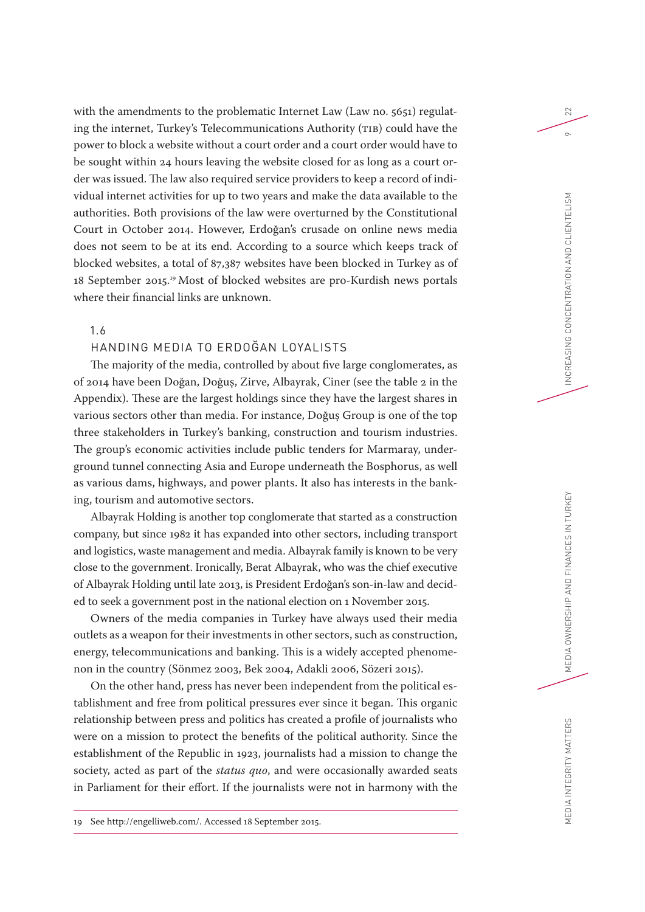with the amendments to the problematic Internet Law (Law no. 5651) regulating the internet, Turkey's Telecommunications Authority (TIB) could have the power to block a website without a court order and a court order would have to be sought within 24 hours leaving the website closed for as long as a court order was issued. The law also required service providers to keep a record of individual internet activities for up to two years and make the data available to the authorities. Both provisions of the law were overturned by the Constitutional Court in October 2014. However, Erdoğan's crusade on online news media does not seem to be at its end. According to a source which keeps track of blocked websites, a total of 87,387 websites have been blocked in Turkey as of 18 September 2015.19 Most of blocked websites are pro-Kurdish news portals where their financial links are unknown.

# 1.6

# HANDING MEDIA TO ERDOĞAN LOYALISTS

The majority of the media, controlled by about five large conglomerates, as of 2014 have been Doğan, Doğuş, Zirve, Albayrak, Ciner (see the table 2 in the Appendix). These are the largest holdings since they have the largest shares in various sectors other than media. For instance, Doğuş Group is one of the top three stakeholders in Turkey's banking, construction and tourism industries. The group's economic activities include public tenders for Marmaray, underground tunnel connecting Asia and Europe underneath the Bosphorus, as well as various dams, highways, and power plants. It also has interests in the banking, tourism and automotive sectors.

Albayrak Holding is another top conglomerate that started as a construction company, but since 1982 it has expanded into other sectors, including transport and logistics, waste management and media. Albayrak family is known to be very close to the government. Ironically, Berat Albayrak, who was the chief executive of Albayrak Holding until late 2013, is President Erdoğan's son-in-law and decided to seek a government post in the national election on 1 November 2015.

Owners of the media companies in Turkey have always used their media outlets as a weapon for their investments in other sectors, such as construction, energy, telecommunications and banking. This is a widely accepted phenomenon in the country (Sönmez 2003, Bek 2004, Adakli 2006, Sözeri 2015).

On the other hand, press has never been independent from the political establishment and free from political pressures ever since it began. This organic relationship between press and politics has created a profile of journalists who were on a mission to protect the benefits of the political authority. Since the establishment of the Republic in 1923, journalists had a mission to change the society, acted as part of the *status quo*, and were occasionally awarded seats in Parliament for their effort. If the journalists were not in harmony with the

19 See http://engelliweb.com/. Accessed 18 September 2015.

22

 $\circ$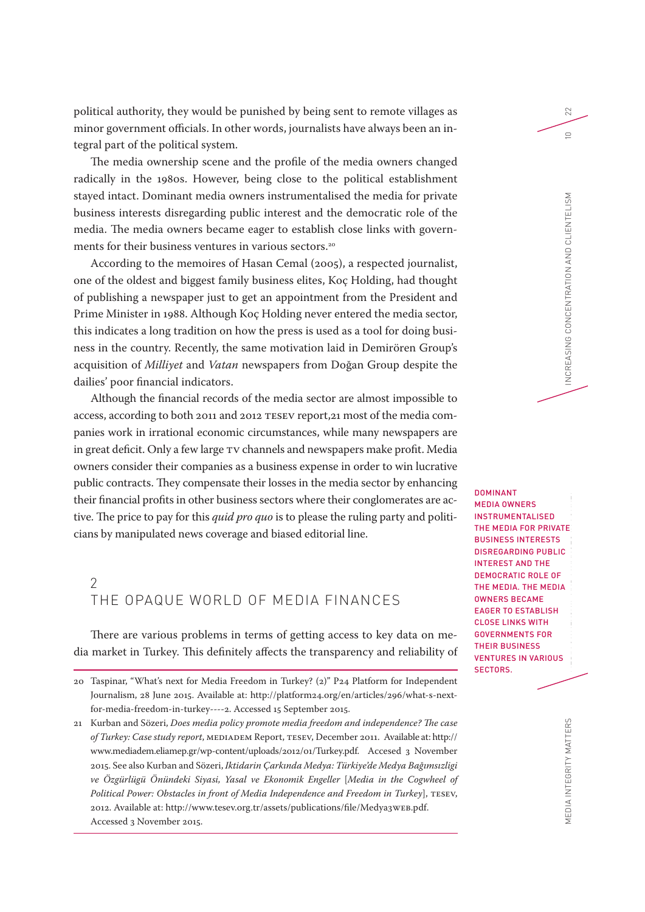political authority, they would be punished by being sent to remote villages as minor government officials. In other words, journalists have always been an integral part of the political system.

The media ownership scene and the profile of the media owners changed radically in the 1980s. However, being close to the political establishment stayed intact. Dominant media owners instrumentalised the media for private business interests disregarding public interest and the democratic role of the media. The media owners became eager to establish close links with governments for their business ventures in various sectors.<sup>20</sup>

According to the memoires of Hasan Cemal (2005), a respected journalist, one of the oldest and biggest family business elites, Koç Holding, had thought of publishing a newspaper just to get an appointment from the President and Prime Minister in 1988. Although Koç Holding never entered the media sector, this indicates a long tradition on how the press is used as a tool for doing business in the country. Recently, the same motivation laid in Demirören Group's acquisition of *Milliyet* and *Vatan* newspapers from Doğan Group despite the dailies' poor financial indicators.

Although the financial records of the media sector are almost impossible to access, according to both 2011 and 2012 TESEV report,21 most of the media companies work in irrational economic circumstances, while many newspapers are in great deficit. Only a few large TV channels and newspapers make profit. Media owners consider their companies as a business expense in order to win lucrative public contracts. They compensate their losses in the media sector by enhancing their financial profits in other business sectors where their conglomerates are active. The price to pay for this *quid pro quo* is to please the ruling party and politicians by manipulated news coverage and biased editorial line.

# $\mathcal{P}$ THE OPAQUE WORLD OF MEDIA FINANCES

There are various problems in terms of getting access to key data on media market in Turkey. This definitely affects the transparency and reliability of DOMINANT MEDIA OWNERS INSTRUMENTALISED THE MEDIA FOR PRIVATE BUSINESS INTERESTS DISREGARDING PUBLIC INTEREST AND THE DEMOCRATIC ROLE OF THE MEDIA. THE MEDIA OWNERS BECAME EAGER TO ESTABLISH CLOSE LINKS WITH GOVERNMENTS FOR THEIR BUSINESS VENTURES IN VARIOUS SECTORS.

22

EDIA INTEGRITY MATTERS

<sup>20</sup> Taspinar, "What's next for Media Freedom in Turkey? (2)" P24 Platform for Independent Journalism, 28 June 2015. Available at: http://platform24.org/en/articles/296/what-s-nextfor-media-freedom-in-turkey----2. Accessed 15 September 2015.

<sup>21</sup> Kurban and Sözeri, *Does media policy promote media freedom and independence? The case of Turkey: Case study report*, MEDIADEM Report, TESEV, December 2011. Available at: http:// www.mediadem.eliamep.gr/wp-content/uploads/2012/01/Turkey.pdf. Accesed 3 November 2015. See also Kurban and Sözeri, *Iktidarin Çarkında Medya: Türkiye'de Medya Bağımsızligi ve Özgürlügü Önündeki Siyasi, Yasal ve Ekonomik Engeller* [*Media in the Cogwheel of Political Power: Obstacles in front of Media Independence and Freedom in Turkey*], TESEV, 2012. Available at: http://www.tesev.org.tr/assets/publications/file/Medya3WEB.pdf. Accessed 3 November 2015.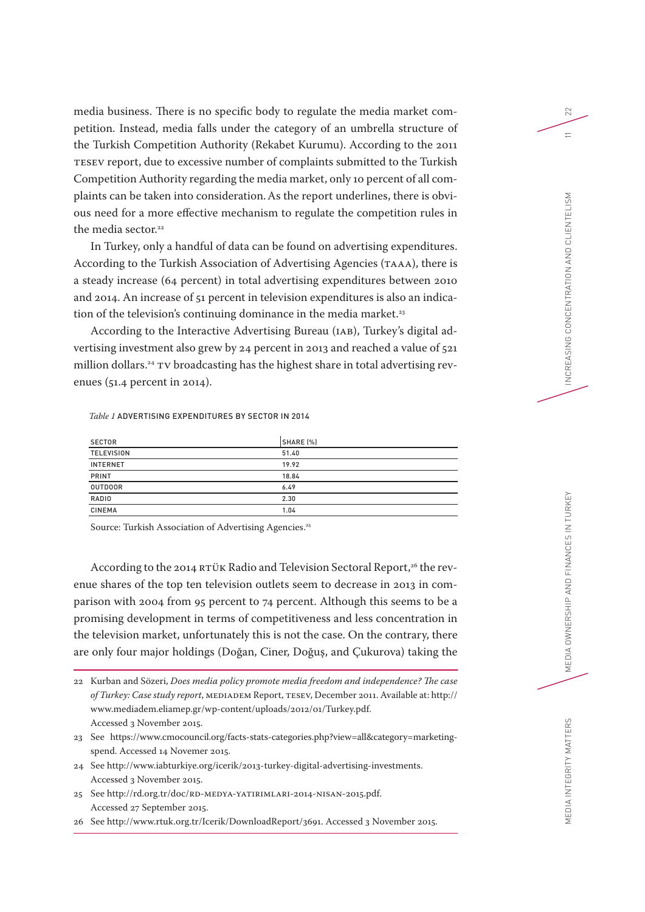media business. There is no specific body to regulate the media market competition. Instead, media falls under the category of an umbrella structure of the Turkish Competition Authority (Rekabet Kurumu). According to the 2011 TESEV report, due to excessive number of complaints submitted to the Turkish Competition Authority regarding the media market, only 10 percent of all complaints can be taken into consideration.As the report underlines, there is obvious need for a more effective mechanism to regulate the competition rules in the media sector.<sup>22</sup>

In Turkey, only a handful of data can be found on advertising expenditures. According to the Turkish Association of Advertising Agencies (TAAA), there is a steady increase (64 percent) in total advertising expenditures between 2010 and 2014. An increase of 51 percent in television expenditures is also an indication of the television's continuing dominance in the media market.<sup>23</sup>

According to the Interactive Advertising Bureau (IAB), Turkey's digital advertising investment also grew by 24 percent in 2013 and reached a value of 521 million dollars.<sup>24</sup> TV broadcasting has the highest share in total advertising revenues (51.4 percent in 2014).

### *Table 1* ADVERTISING EXPENDITURES BY SECTOR IN 2014

| <b>SECTOR</b>     | SHARE (%) |
|-------------------|-----------|
| <b>TELEVISION</b> | 51.40     |
| <b>INTERNET</b>   | 19.92     |
| <b>PRINT</b>      | 18.84     |
| <b>OUTDOOR</b>    | 6.49      |
| RADIO             | 2.30      |
| <b>CINEMA</b>     | 1.04      |

Source: Turkish Association of Advertising Agencies.<sup>25</sup>

According to the 2014 RTÜK Radio and Television Sectoral Report,<sup>26</sup> the revenue shares of the top ten television outlets seem to decrease in 2013 in comparison with 2004 from 95 percent to 74 percent. Although this seems to be a promising development in terms of competitiveness and less concentration in the television market, unfortunately this is not the case. On the contrary, there are only four major holdings (Doğan, Ciner, Doğuş, and Çukurova) taking the

- 23 See https://www.cmocouncil.org/facts-stats-categories.php?view=all&category=marketingspend. Accessed 14 Novemer 2015.
- 24 See http://www.iabturkiye.org/icerik/2013-turkey-digital-advertising-investments. Accessed 3 November 2015.
- 25 See http://rd.org.tr/doc/RD-MEDYA-YATIRIMLARI-2014-NISAN-2015.pdf. Accessed 27 September 2015.

26 See http://www.rtuk.org.tr/Icerik/DownloadReport/3691. Accessed 3 November 2015.

<sup>22</sup> Kurban and Sözeri, *Does media policy promote media freedom and independence? The case of Turkey: Case study report*, MEDIADEM Report, TESEV, December 2011. Available at: http:// www.mediadem.eliamep.gr/wp-content/uploads/2012/01/Turkey.pdf. Accessed 3 November 2015.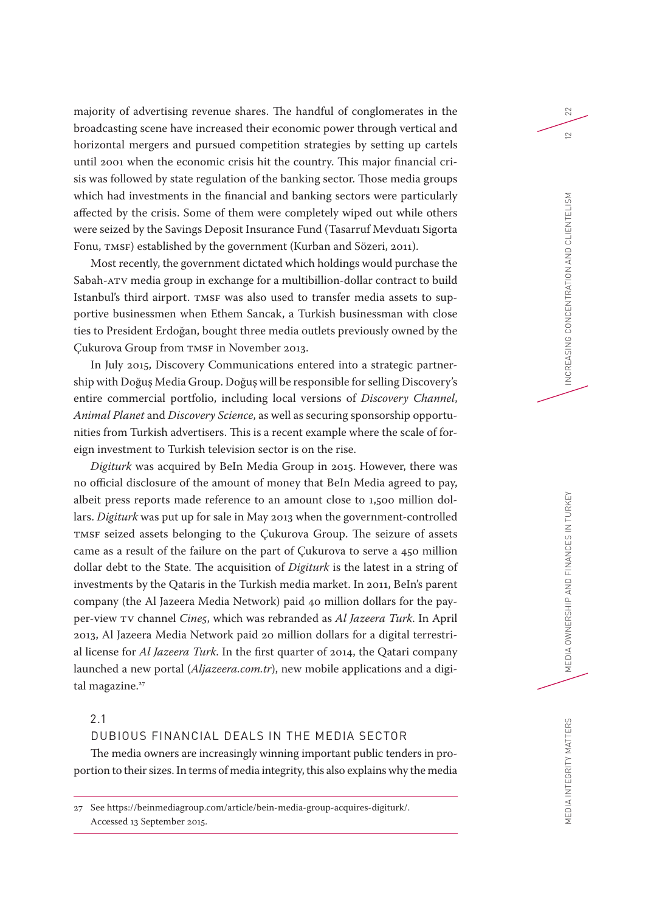majority of advertising revenue shares. The handful of conglomerates in the broadcasting scene have increased their economic power through vertical and horizontal mergers and pursued competition strategies by setting up cartels until 2001 when the economic crisis hit the country. This major financial crisis was followed by state regulation of the banking sector. Those media groups which had investments in the financial and banking sectors were particularly affected by the crisis. Some of them were completely wiped out while others were seized by the Savings Deposit Insurance Fund (Tasarruf Mevduatı Sigorta Fonu, TMSF) established by the government (Kurban and Sözeri, 2011).

Most recently, the government dictated which holdings would purchase the Sabah-ATV media group in exchange for a multibillion-dollar contract to build Istanbul's third airport. TMSF was also used to transfer media assets to supportive businessmen when Ethem Sancak, a Turkish businessman with close ties to President Erdoğan, bought three media outlets previously owned by the Çukurova Group from TMSF in November 2013.

In July 2015, Discovery Communications entered into a strategic partnership with Doğuş Media Group. Doğuş will be responsible for selling Discovery's entire commercial portfolio, including local versions of *Discovery Channel*, *Animal Planet* and *Discovery Science*, as well as securing sponsorship opportunities from Turkish advertisers. This is a recent example where the scale of foreign investment to Turkish television sector is on the rise.

*Digiturk* was acquired by BeIn Media Group in 2015. However, there was no official disclosure of the amount of money that BeIn Media agreed to pay, albeit press reports made reference to an amount close to 1,500 million dollars. *Digiturk* was put up for sale in May 2013 when the government-controlled TMSF seized assets belonging to the Çukurova Group. The seizure of assets came as a result of the failure on the part of Çukurova to serve a 450 million dollar debt to the State. The acquisition of *Digiturk* is the latest in a string of investments by the Qataris in the Turkish media market. In 2011, BeIn's parent company (the Al Jazeera Media Network) paid 40 million dollars for the payper-view TV channel *Cine5*, which was rebranded as *Al Jazeera Turk*. In April 2013, Al Jazeera Media Network paid 20 million dollars for a digital terrestrial license for *Al Jazeera Turk*. In the first quarter of 2014, the Qatari company launched a new portal (*Aljazeera.com.tr*), new mobile applications and a digital magazine.<sup>27</sup>

# 2.1

# DUBIOUS FINANCIAL DEALS IN THE MEDIA SECTOR

The media owners are increasingly winning important public tenders in proportion to their sizes. In terms of media integrity, this also explains why the media

27 See https://beinmediagroup.com/article/bein-media-group-acquires-digiturk/. Accessed 13 September 2015.

MEDIA OWNERSHIP AND FINANCES IN TURKEY

MEDIA INTEGRITY MATTERS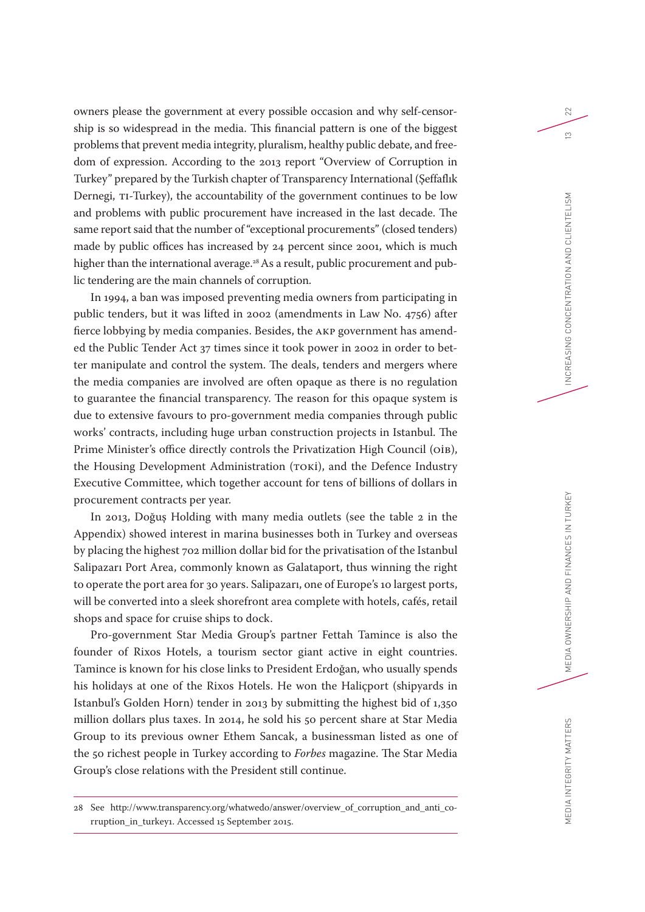owners please the government at every possible occasion and why self-censorship is so widespread in the media. This financial pattern is one of the biggest problems that prevent media integrity, pluralism, healthy public debate, and freedom of expression. According to the 2013 report "Overview of Corruption in Turkey" prepared by the Turkish chapter of Transparency International (Şeffaflık Dernegi, TI-Turkey), the accountability of the government continues to be low and problems with public procurement have increased in the last decade. The same report said that the number of "exceptional procurements" (closed tenders) made by public offices has increased by 24 percent since 2001, which is much higher than the international average.<sup>28</sup> As a result, public procurement and public tendering are the main channels of corruption.

In 1994, a ban was imposed preventing media owners from participating in public tenders, but it was lifted in 2002 (amendments in Law No. 4756) after fierce lobbying by media companies. Besides, the AKP government has amended the Public Tender Act 37 times since it took power in 2002 in order to better manipulate and control the system. The deals, tenders and mergers where the media companies are involved are often opaque as there is no regulation to guarantee the financial transparency. The reason for this opaque system is due to extensive favours to pro-government media companies through public works' contracts, including huge urban construction projects in Istanbul. The Prime Minister's office directly controls the Privatization High Council (OIB), the Housing Development Administration (TOKİ), and the Defence Industry Executive Committee, which together account for tens of billions of dollars in procurement contracts per year.

In 2013, Doğuş Holding with many media outlets (see the table 2 in the Appendix) showed interest in marina businesses both in Turkey and overseas by placing the highest 702 million dollar bid for the privatisation of the Istanbul Salipazarı Port Area, commonly known as Galataport, thus winning the right to operate the port area for 30 years. Salipazarı, one of Europe's 10 largest ports, will be converted into a sleek shorefront area complete with hotels, cafés, retail shops and space for cruise ships to dock.

Pro-government Star Media Group's partner Fettah Tamince is also the founder of Rixos Hotels, a tourism sector giant active in eight countries. Tamince is known for his close links to President Erdoğan, who usually spends his holidays at one of the Rixos Hotels. He won the Haliçport (shipyards in Istanbul's Golden Horn) tender in 2013 by submitting the highest bid of 1,350 million dollars plus taxes. In 2014, he sold his 50 percent share at Star Media Group to its previous owner Ethem Sancak, a businessman listed as one of the 50 richest people in Turkey according to *Forbes* magazine. The Star Media Group's close relations with the President still continue.

<sup>28</sup> See http://www.transparency.org/whatwedo/answer/overview\_of\_corruption\_and\_anti\_corruption\_in\_turkey1. Accessed 15 September 2015.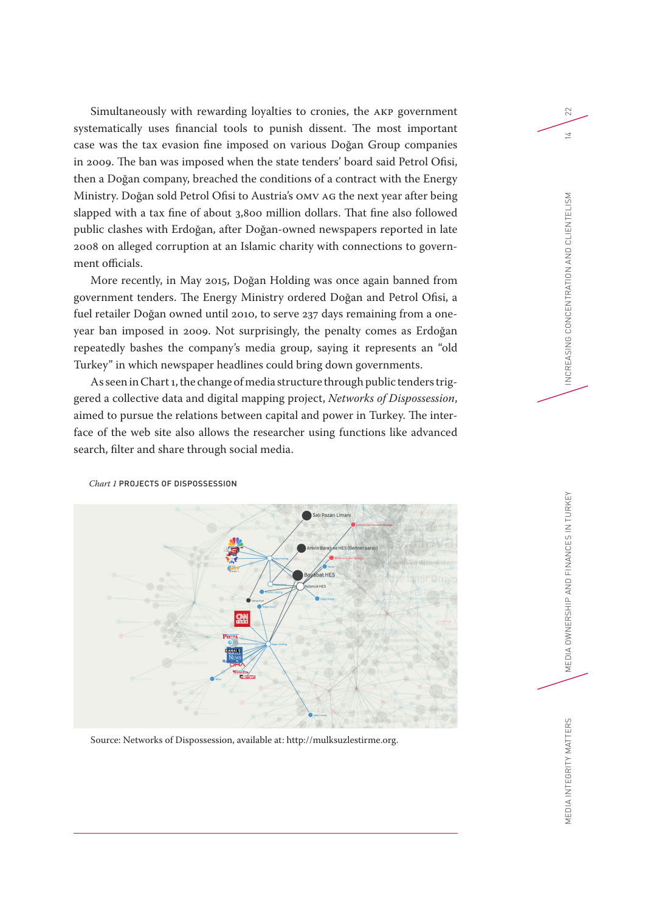Simultaneously with rewarding loyalties to cronies, the AKP government systematically uses financial tools to punish dissent. The most important case was the tax evasion fine imposed on various Doğan Group companies in 2009. The ban was imposed when the state tenders' board said Petrol Ofisi, then a Doğan company, breached the conditions of a contract with the Energy Ministry. Doğan sold Petrol Ofisi to Austria's OMV AG the next year after being slapped with a tax fine of about 3,800 million dollars. That fine also followed public clashes with Erdoğan, after Doğan-owned newspapers reported in late 2008 on alleged corruption at an Islamic charity with connections to government officials.

More recently, in May 2015, Doğan Holding was once again banned from government tenders. The Energy Ministry ordered Doğan and Petrol Ofisi, a fuel retailer Doğan owned until 2010, to serve 237 days remaining from a oneyear ban imposed in 2009. Not surprisingly, the penalty comes as Erdoğan repeatedly bashes the company's media group, saying it represents an "old Turkey" in which newspaper headlines could bring down governments.

As seen in Chart 1, the change of media structure through public tenders triggered a collective data and digital mapping project, *Networks of Dispossession*, aimed to pursue the relations between capital and power in Turkey. The interface of the web site also allows the researcher using functions like advanced search, filter and share through social media.



*Chart 1* PROJECTS OF DISPOSSESSION

Source: Networks of Dispossession, available at: http://mulksuzlestirme.org.

22

MEDIA OWNERSHIP AND FINANCES IN TURKEY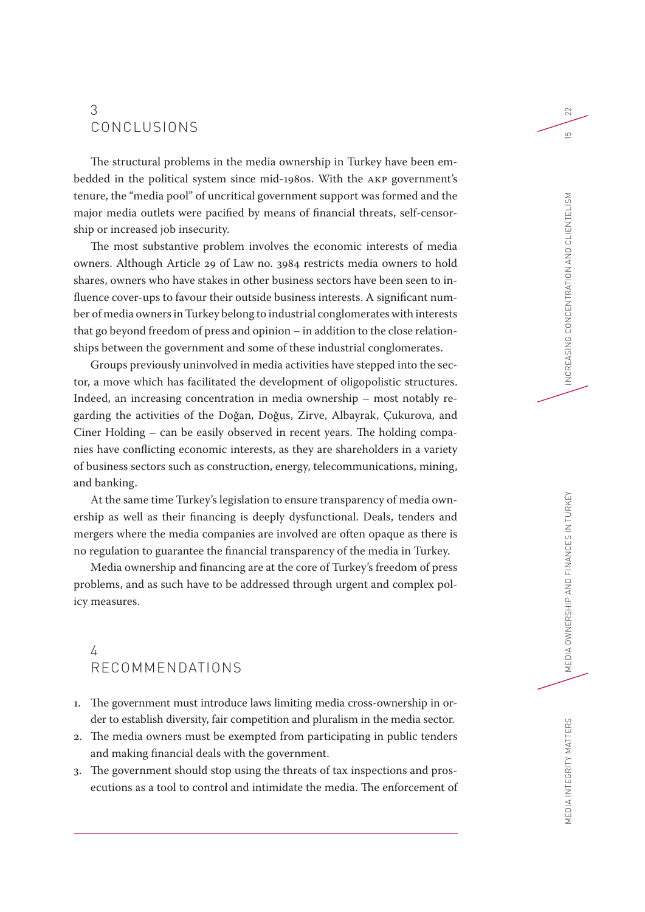# 3 CONCLUSIONS

The structural problems in the media ownership in Turkey have been embedded in the political system since mid-1980s. With the AKP government's tenure, the "media pool" of uncritical government support was formed and the major media outlets were pacified by means of financial threats, self-censorship or increased job insecurity.

The most substantive problem involves the economic interests of media owners. Although Article 29 of Law no. 3984 restricts media owners to hold shares, owners who have stakes in other business sectors have been seen to influence cover-ups to favour their outside business interests. A significant number of media owners in Turkey belong to industrial conglomerates with interests that go beyond freedom of press and opinion – in addition to the close relationships between the government and some of these industrial conglomerates.

Groups previously uninvolved in media activities have stepped into the sector, a move which has facilitated the development of oligopolistic structures. Indeed, an increasing concentration in media ownership – most notably regarding the activities of the Doğan, Doğus, Zirve, Albayrak, Çukurova, and Ciner Holding – can be easily observed in recent years. The holding companies have conflicting economic interests, as they are shareholders in a variety of business sectors such as construction, energy, telecommunications, mining, and banking.

At the same time Turkey's legislation to ensure transparency of media ownership as well as their financing is deeply dysfunctional. Deals, tenders and mergers where the media companies are involved are often opaque as there is no regulation to guarantee the financial transparency of the media in Turkey.

Media ownership and financing are at the core of Turkey's freedom of press problems, and as such have to be addressed through urgent and complex policy measures.

# 4 RECOMMENDATIONS

- 1. The government must introduce laws limiting media cross-ownership in order to establish diversity, fair competition and pluralism in the media sector.
- 2. The media owners must be exempted from participating in public tenders and making financial deals with the government.
- 3. The government should stop using the threats of tax inspections and prosecutions as a tool to control and intimidate the media. The enforcement of

22

 $\overline{5}$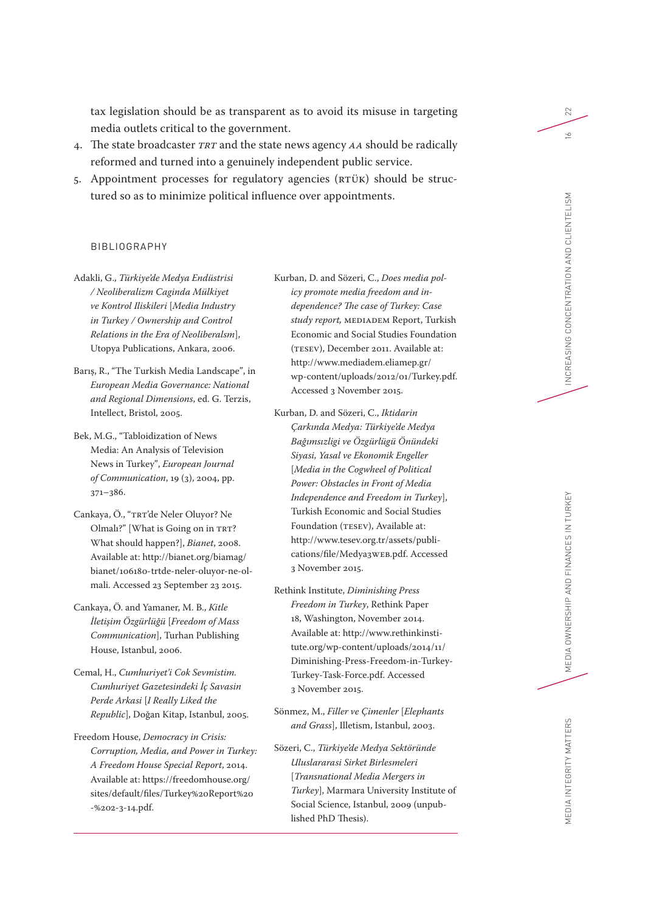tax legislation should be as transparent as to avoid its misuse in targeting media outlets critical to the government.

- 4. The state broadcaster *TRT* and the state news agency *AA* should be radically reformed and turned into a genuinely independent public service.
- 5. Appointment processes for regulatory agencies (RTÜK) should be structured so as to minimize political influence over appointments.

# BIBLIOGRAPHY

- Adakli, G., *Türkiye'de Medya Endüstrisi / Neoliberalizm Caginda Mülkiyet ve Kontrol Iliskileri* [*Media Industry in Turkey / Ownership and Control Relations in the Era of Neoliberalsm*], Utopya Publications, Ankara, 2006.
- Barış, R., "The Turkish Media Landscape", in *European Media Governance: National and Regional Dimensions*, ed. G. Terzis, Intellect, Bristol, 2005.
- Bek, M.G., "Tabloidization of News Media: An Analysis of Television News in Turkey", *European Journal of Communication*, 19 (3), 2004, pp. 371–386.
- Cankaya, Ö., "TRT'de Neler Oluyor? Ne Olmalı?" [What is Going on in TRT? What should happen?], *Bianet*, 2008. Available at: http://bianet.org/biamag/ bianet/106180-trtde-neler-oluyor-ne-olmali. Accessed 23 September 23 2015.
- Cankaya, Ö. and Yamaner, M. B., *Kitle İletişim Özgürlüğü* [*Freedom of Mass Communication*], Turhan Publishing House, Istanbul, 2006.
- Cemal, H., *Cumhuriyet'i Cok Sevmistim. Cumhuriyet Gazetesindeki İç Savasin Perde Arkasi* [*I Really Liked the Republic*], Doğan Kitap, Istanbul, 2005.
- Freedom House, *Democracy in Crisis: Corruption, Media, and Power in Turkey: A Freedom House Special Report*, 2014. Available at: https://freedomhouse.org/ sites/default/files/Turkey%20Report%20 -%202-3-14.pdf.
- Kurban, D. and Sözeri, C., *Does media policy promote media freedom and independence? The case of Turkey: Case study report,* MEDIADEM Report, Turkish Economic and Social Studies Foundation (TESEV), December 2011. Available at: http://www.mediadem.eliamep.gr/ wp-content/uploads/2012/01/Turkey.pdf. Accessed 3 November 2015.
- Kurban, D. and Sözeri, C., *Iktidarin Çarkında Medya: Türkiye'de Medya Bağımsızligi ve Özgürlügü Önündeki Siyasi, Yasal ve Ekonomik Engeller* [*Media in the Cogwheel of Political Power: Obstacles in Front of Media Independence and Freedom in Turkey*], Turkish Economic and Social Studies Foundation (TESEV), Available at: http://www.tesev.org.tr/assets/publications/file/Medya3WEB.pdf. Accessed 3 November 2015.
- Rethink Institute, *Diminishing Press Freedom in Turkey*, Rethink Paper 18, Washington, November 2014. Available at: http://www.rethinkinstitute.org/wp-content/uploads/2014/11/ Diminishing-Press-Freedom-in-Turkey-Turkey-Task-Force.pdf. Accessed 3 November 2015.
- Sönmez, M., *Filler ve Çimenler* [*Elephants and Grass*], Illetism, Istanbul, 2003.
- Sözeri, C., *Türkiye'de Medya Sektöründe Uluslararasi Sirket Birlesmeleri* [*Transnational Media Mergers in Turkey*], Marmara University Institute of Social Science, Istanbul, 2009 (unpublished PhD Thesis).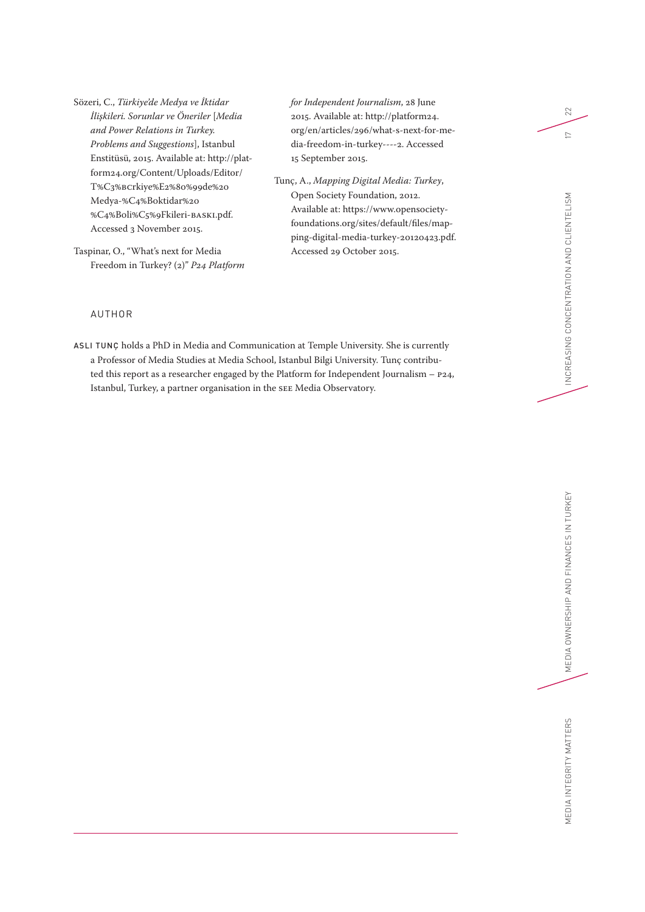Sözeri, C., *Türkiye'de Medya ve İktidar İlişkileri. Sorunlar ve Öneriler* [*Media and Power Relations in Turkey. Problems and Suggestions*], Istanbul Enstitüsü, 2015. Available at: http://platform24.org/Content/Uploads/Editor/ T%C3%BCrkiye%E2%80%99de%20 Medya-%C4%B0ktidar%20 %C4%B0li%C5%9Fkileri-BASKI.pdf. Accessed 3 November 2015.

Taspinar, O., "What's next for Media Freedom in Turkey? (2)" *P24 Platform*  *for Independent Journalism*, 28 June 2015. Available at: http://platform24. org/en/articles/296/what-s-next-for-media-freedom-in-turkey----2. Accessed 15 September 2015.

Tunç, A., *Mapping Digital Media: Turkey*, Open Society Foundation, 2012. Available at: https://www.opensocietyfoundations.org/sites/default/files/mapping-digital-media-turkey-20120423.pdf. Accessed 29 October 2015.

# AUTHOR

ASLI TUNÇ holds a PhD in Media and Communication at Temple University. She is currently a Professor of Media Studies at Media School, Istanbul Bilgi University. Tunç contributed this report as a researcher engaged by the Platform for Independent Journalism – P24, Istanbul, Turkey, a partner organisation in the SEE Media Observatory.

 $22\,$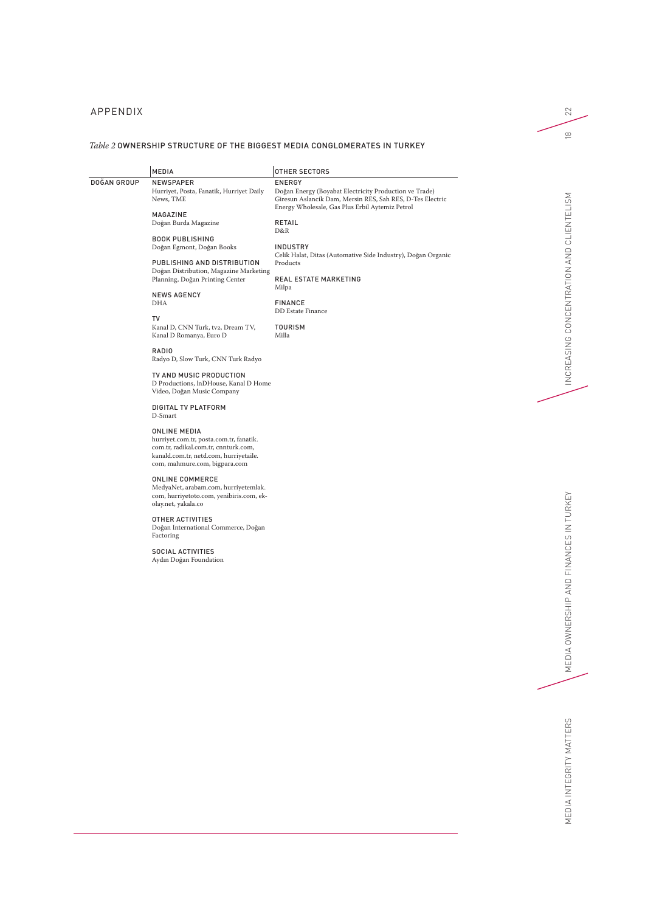# APPENDIX

### *Table 2* OWNERSHIP STRUCTURE OF THE BIGGEST MEDIA CONGLOMERATES IN TURKEY

|             | <b>MEDIA</b>                                                            | <b>OTHER SECTORS</b>                                                                                         |
|-------------|-------------------------------------------------------------------------|--------------------------------------------------------------------------------------------------------------|
| DOĞAN GROUP | <b>NEWSPAPER</b>                                                        | <b>ENERGY</b>                                                                                                |
|             | Hurriyet, Posta, Fanatik, Hurriyet Daily                                | Doğan Energy (Boyabat Electricity Production ve Trade)                                                       |
|             | News, TME                                                               | Giresun Aslancik Dam, Mersin RES, Sah RES, D-Tes Electric<br>Energy Wholesale, Gas Plus Erbil Aytemiz Petrol |
|             | MAGAZINE                                                                |                                                                                                              |
|             | Doğan Burda Magazine                                                    | RETAIL<br>D&R                                                                                                |
|             | <b>BOOK PUBLISHING</b>                                                  |                                                                                                              |
|             | Doğan Egmont, Doğan Books                                               | <b>INDUSTRY</b><br>Celik Halat, Ditas (Automative Side Industry), Doğan Organic                              |
|             | PUBLISHING AND DISTRIBUTION                                             | Products                                                                                                     |
|             | Doğan Distribution, Magazine Marketing                                  |                                                                                                              |
|             | Planning, Doğan Printing Center                                         | <b>REAL ESTATE MARKETING</b>                                                                                 |
|             |                                                                         | Milpa                                                                                                        |
|             | <b>NEWS AGENCY</b><br>DHA                                               | <b>FINANCE</b>                                                                                               |
|             |                                                                         | <b>DD</b> Estate Finance                                                                                     |
|             | T٧                                                                      |                                                                                                              |
|             | Kanal D, CNN Turk, tv2, Dream TV,                                       | <b>TOURISM</b>                                                                                               |
|             | Kanal D Romanya, Euro D                                                 | Milla                                                                                                        |
|             | RADIO                                                                   |                                                                                                              |
|             | Radyo D, Slow Turk, CNN Turk Radyo                                      |                                                                                                              |
|             | TV AND MUSIC PRODUCTION                                                 |                                                                                                              |
|             | D Productions, InDHouse, Kanal D Home                                   |                                                                                                              |
|             | Video, Doğan Music Company                                              |                                                                                                              |
|             | <b>DIGITAL TV PLATFORM</b>                                              |                                                                                                              |
|             | D-Smart                                                                 |                                                                                                              |
|             |                                                                         |                                                                                                              |
|             | ONLINE MEDIA                                                            |                                                                                                              |
|             | hurriyet.com.tr, posta.com.tr, fanatik.                                 |                                                                                                              |
|             | com.tr, radikal.com.tr, cnnturk.com,                                    |                                                                                                              |
|             | kanald.com.tr, netd.com, hurriyetaile.<br>com, mahmure.com, bigpara.com |                                                                                                              |
|             |                                                                         |                                                                                                              |
|             | ONLINE COMMERCE                                                         |                                                                                                              |
|             | MedyaNet, arabam.com, hurriyetemlak.                                    |                                                                                                              |
|             | com, hurriyetoto.com, yenibiris.com, ek-<br>olay.net, yakala.co         |                                                                                                              |
|             |                                                                         |                                                                                                              |
|             | OTHER ACTIVITIES                                                        |                                                                                                              |
|             | Doğan International Commerce, Doğan                                     |                                                                                                              |
|             | Factoring                                                               |                                                                                                              |
|             | SOCIAL ACTIVITIES                                                       |                                                                                                              |

SOCIAL ACTIVITIES Aydın Doğan Foundation 22

 $\overset{\infty}{=}$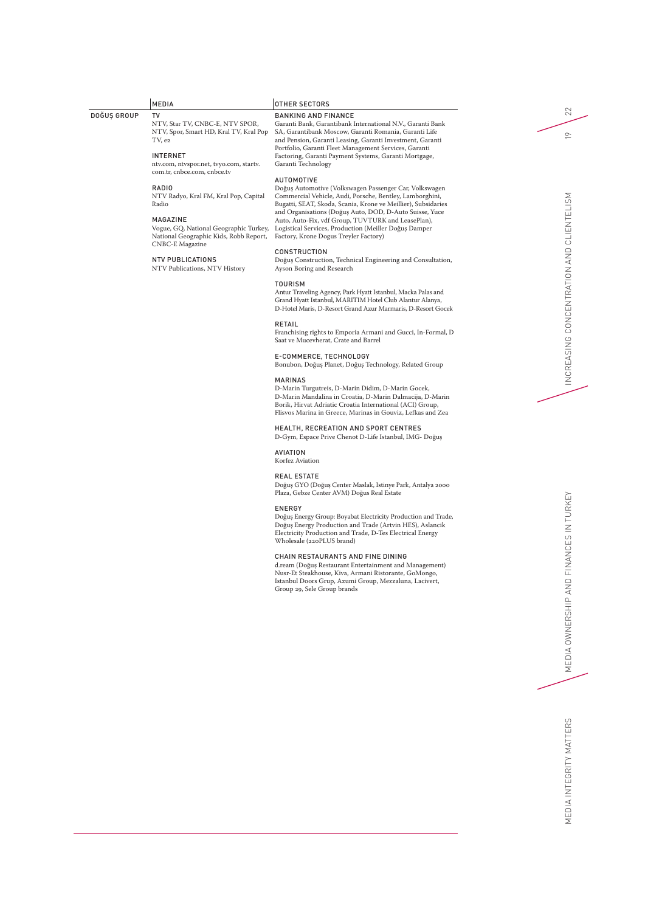|             | <b>MEDIA</b>                                                           | <b>OTHER SECTORS</b>                                                                                                     |  |
|-------------|------------------------------------------------------------------------|--------------------------------------------------------------------------------------------------------------------------|--|
| DOĞUS GROUP | TV                                                                     | <b>BANKING AND FINANCE</b>                                                                                               |  |
|             | NTV, Star TV, CNBC-E, NTV SPOR,                                        | Garanti Bank, Garantibank International N.V., Garanti Bank                                                               |  |
|             | NTV, Spor, Smart HD, Kral TV, Kral Pop                                 | SA, Garantibank Moscow, Garanti Romania, Garanti Life                                                                    |  |
|             | TV, e2                                                                 | and Pension, Garanti Leasing, Garanti Investment, Garanti                                                                |  |
|             |                                                                        | Portfolio, Garanti Fleet Management Services, Garanti                                                                    |  |
|             | <b>INTERNET</b>                                                        | Factoring, Garanti Payment Systems, Garanti Mortgage,                                                                    |  |
|             | ntv.com, ntvspor.net, tvyo.com, startv.<br>com.tr. cnbce.com. cnbce.tv | Garanti Technology                                                                                                       |  |
|             |                                                                        | <b>AUTOMOTIVE</b>                                                                                                        |  |
|             | RADIO                                                                  | Doğus Automotive (Volkswagen Passenger Car, Volkswagen                                                                   |  |
|             | NTV Radyo, Kral FM, Kral Pop, Capital                                  | Commercial Vehicle, Audi, Porsche, Bentley, Lamborghini,                                                                 |  |
|             | Radio                                                                  | Bugatti, SEAT, Skoda, Scania, Krone ve Meillier), Subsidaries<br>and Organisations (Doğus Auto, DOD, D-Auto Suisse, Yuce |  |
|             | MAGAZINE                                                               | Auto, Auto-Fix, vdf Group, TUVTURK and LeasePlan),                                                                       |  |

Factory, Krone Dogus Treyler Factory)

### MAGAZINE

Vogue, GQ, National Geographic Turkey, National Geographic Kids, Robb Report, CNBC-E Magazine

### NTV PUBLICATIONS

NTV Publications, NTV History

#### CONSTRUCTION

Doğuş Construction, Technical Engineering and Consultation, Ayson Boring and Research

Logistical Services, Production (Meiller Doğuş Damper

### TOURISM

Antur Traveling Agency, Park Hyatt Istanbul, Macka Palas and Grand Hyatt Istanbul, MARITIM Hotel Club Alantur Alanya, D-Hotel Maris, D-Resort Grand Azur Marmaris, D-Resort Gocek

#### RETAIL

Franchising rights to Emporia Armani and Gucci, In-Formal, D Saat ve Mucevherat, Crate and Barrel

#### E-COMMERCE, TECHNOLOGY

Bonubon, Doğuş Planet, Doğuş Technology, Related Group

### MARINAS

D-Marin Turgutreis, D-Marin Didim, D-Marin Gocek, D-Marin Mandalina in Croatia, D-Marin Dalmacija, D-Marin Borik, Hirvat Adriatic Croatia International (ACI) Group, Flisvos Marina in Greece, Marinas in Gouviz, Lefkas and Zea

### HEALTH, RECREATION AND SPORT CENTRES

D-Gym, Espace Prive Chenot D-Life Istanbul, IMG- Doğuş

### AVIATION

Korfez Aviation

#### REAL ESTATE

Doğuş GYO (Doğuş Center Maslak, Istinye Park, Antalya 2000 Plaza, Gebze Center AVM) Doğus Real Estate

#### ENERGY

Doğuş Energy Group: Boyabat Electricity Production and Trade, Doğuş Energy Production and Trade (Artvin HES), Aslancik Electricity Production and Trade, D-Tes Electrical Energy Wholesale (220PLUS brand)

### CHAIN RESTAURANTS AND FINE DINING

d.ream (Doğuş Restaurant Entertainment and Management) Nusr-Et Steakhouse, Kiva, Armani Ristorante, GoMongo, Istanbul Doors Grup, Azumi Group, Mezzaluna, Lacivert, Group 29, Sele Group brands

 $22\,$ 

 $\approx$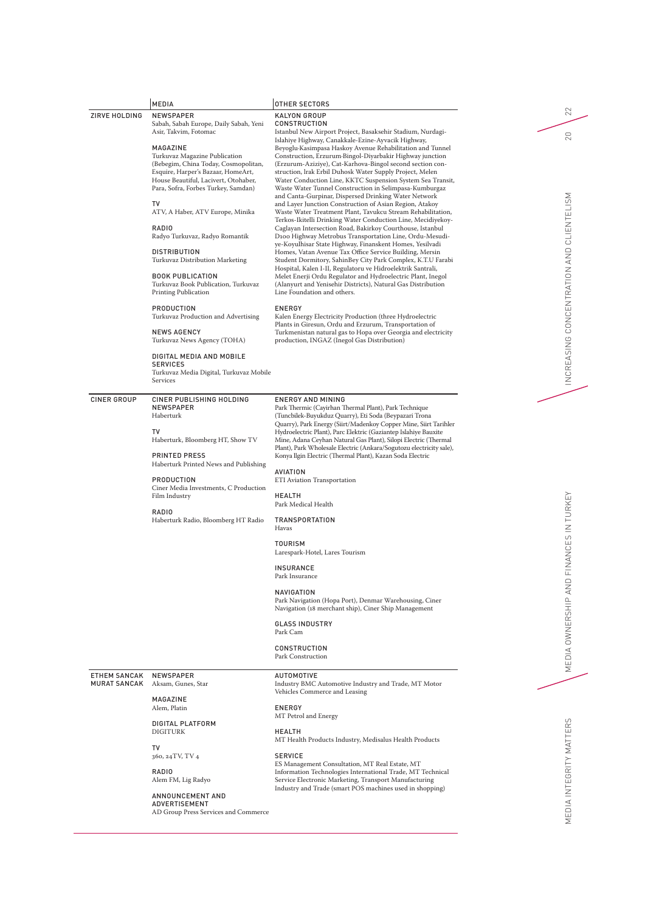| ZIRVE HOLDING                       | <b>MEDIA</b><br><b>NEWSPAPER</b>                                                                                                                                                                                                                                                                                                                                                                                                                                                                                                                      | OTHER SECTORS<br>KALYON GROUP                                                                                                                                                                                                                                                                                                                                                                                                                                                                                                                                                                                                                                                                                                                                                                                                                                                                                                                                                                                                                                                                                                                                                                                                                                                                                                   |
|-------------------------------------|-------------------------------------------------------------------------------------------------------------------------------------------------------------------------------------------------------------------------------------------------------------------------------------------------------------------------------------------------------------------------------------------------------------------------------------------------------------------------------------------------------------------------------------------------------|---------------------------------------------------------------------------------------------------------------------------------------------------------------------------------------------------------------------------------------------------------------------------------------------------------------------------------------------------------------------------------------------------------------------------------------------------------------------------------------------------------------------------------------------------------------------------------------------------------------------------------------------------------------------------------------------------------------------------------------------------------------------------------------------------------------------------------------------------------------------------------------------------------------------------------------------------------------------------------------------------------------------------------------------------------------------------------------------------------------------------------------------------------------------------------------------------------------------------------------------------------------------------------------------------------------------------------|
|                                     | Sabah, Sabah Europe, Daily Sabah, Yeni<br>Asir, Takvim, Fotomac<br>MAGAZINE<br>Turkuvaz Magazine Publication<br>(Bebegim, China Today, Cosmopolitan,<br>Esquire, Harper's Bazaar, HomeArt,<br>House Beautiful, Lacivert, Otohaber,<br>Para, Sofra, Forbes Turkey, Samdan)<br>TV<br>ATV, A Haber, ATV Europe, Minika<br><b>RADIO</b><br>Radyo Turkuvaz, Radyo Romantik<br><b>DISTRIBUTION</b><br>Turkuvaz Distribution Marketing<br><b>BOOK PUBLICATION</b><br>Turkuvaz Book Publication, Turkuvaz<br><b>Printing Publication</b><br><b>PRODUCTION</b> | <b>CONSTRUCTION</b><br>Istanbul New Airport Project, Basaksehir Stadium, Nurdagi-<br>Islahiye Highway, Canakkale-Ezine-Ayvacik Highway,<br>Beyoglu-Kasimpasa Haskoy Avenue Rehabilitation and Tunnel<br>Construction, Erzurum-Bingol-Diyarbakir Highway junction<br>(Erzurum-Aziziye), Cat-Karhova-Bingol second section con-<br>struction, Irak Erbil Duhosk Water Supply Project, Melen<br>Water Conduction Line, KKTC Suspension System Sea Transit,<br>Waste Water Tunnel Construction in Selimpasa-Kumburgaz<br>and Canta-Gurpinar, Dispersed Drinking Water Network<br>and Layer Junction Construction of Asian Region, Atakoy<br>Waste Water Treatment Plant, Tavukcu Stream Rehabilitation,<br>Terkos-Ikitelli Drinking Water Conduction Line, Mecidiyekoy-<br>Caglayan Intersection Road, Bakirkoy Courthouse, Istanbul<br>D100 Highway Metrobus Transportation Line, Ordu-Mesudi-<br>ye-Koyulhisar State Highway, Finanskent Homes, Yesilvadi<br>Homes, Vatan Avenue Tax Office Service Building, Mersin<br>Student Dormitory, SahinBey City Park Complex, K.T.U Farabi<br>Hospital, Kalen I-II, Regulatoru ve Hidroelektrik Santrali,<br>Melet Enerji Ordu Regulator and Hydroelectric Plant, Inegol<br>(Alanyurt and Yenisehir Districts), Natural Gas Distribution<br>Line Foundation and others.<br><b>ENERGY</b> |
|                                     | Turkuvaz Production and Advertising<br><b>NEWS AGENCY</b><br>Turkuvaz News Agency (TOHA)                                                                                                                                                                                                                                                                                                                                                                                                                                                              | Kalen Energy Electricity Production (three Hydroelectric<br>Plants in Giresun, Ordu and Erzurum, Transportation of<br>Turkmenistan natural gas to Hopa over Georgia and electricity<br>production, INGAZ (Inegol Gas Distribution)                                                                                                                                                                                                                                                                                                                                                                                                                                                                                                                                                                                                                                                                                                                                                                                                                                                                                                                                                                                                                                                                                              |
|                                     | DIGITAL MEDIA AND MOBILE<br><b>SERVICES</b><br>Turkuvaz Media Digital, Turkuvaz Mobile<br>Services                                                                                                                                                                                                                                                                                                                                                                                                                                                    |                                                                                                                                                                                                                                                                                                                                                                                                                                                                                                                                                                                                                                                                                                                                                                                                                                                                                                                                                                                                                                                                                                                                                                                                                                                                                                                                 |
| CINER GROUP                         | CINER PUBLISHING HOLDING<br><b>NEWSPAPER</b><br>Haberturk<br>TV<br>Haberturk, Bloomberg HT, Show TV<br><b>PRINTED PRESS</b><br>Haberturk Printed News and Publishing<br><b>PRODUCTION</b><br>Ciner Media Investments, C Production<br>Film Industry<br>RADIO<br>Haberturk Radio, Bloomberg HT Radio                                                                                                                                                                                                                                                   | <b>ENERGY AND MINING</b><br>Park Thermic (Cayirhan Thermal Plant), Park Technique<br>(Tuncbilek-Buyukduz Quarry), Eti Soda (Beypazari Trona<br>Quarry), Park Energy (Siirt/Madenkoy Copper Mine, Siirt Tarihler<br>Hydroelectric Plant), Parc Elektric (Gaziantep Islahiye Bauxite<br>Mine, Adana Ceyhan Natural Gas Plant), Silopi Electric (Thermal<br>Plant), Park Wholesale Electric (Ankara/Sogutozu electricity sale),<br>Konya Ilgin Electric (Thermal Plant), Kazan Soda Electric<br>AVIATION<br>ETI Aviation Transportation<br>HEALTH<br>Park Medical Health<br>TRANSPORTATION<br>Havas<br><b>TOURISM</b><br>Larespark-Hotel, Lares Tourism<br><b>INSURANCE</b><br>Park Insurance<br>NAVIGATION<br>Park Navigation (Hopa Port), Denmar Warehousing, Ciner<br>Navigation (18 merchant ship), Ciner Ship Management<br><b>GLASS INDUSTRY</b><br>Park Cam<br><b>CONSTRUCTION</b><br>Park Construction                                                                                                                                                                                                                                                                                                                                                                                                                     |
| <b>ETHEM SANCAK</b><br>MURAT SANCAK | <b>NEWSPAPER</b><br>Aksam, Gunes, Star<br>MAGAZINE<br>Alem, Platin<br>DIGITAL PLATFORM<br><b>DIGITURK</b><br>TV<br>360, 24TV, TV 4<br>RADIO<br>Alem FM, Lig Radyo<br>ANNOUNCEMENT AND<br>ADVERTISEMENT                                                                                                                                                                                                                                                                                                                                                | AUTOMOTIVE<br>Industry BMC Automotive Industry and Trade, MT Motor<br>Vehicles Commerce and Leasing<br><b>ENERGY</b><br>MT Petrol and Energy<br><b>HEALTH</b><br>MT Health Products Industry, Medisalus Health Products<br><b>SERVICE</b><br>ES Management Consultation, MT Real Estate, MT<br>Information Technologies International Trade, MT Technical<br>Service Electronic Marketing, Transport Manufacturing<br>Industry and Trade (smart POS machines used in shopping)                                                                                                                                                                                                                                                                                                                                                                                                                                                                                                                                                                                                                                                                                                                                                                                                                                                  |
|                                     | AD Group Press Services and Commerce                                                                                                                                                                                                                                                                                                                                                                                                                                                                                                                  |                                                                                                                                                                                                                                                                                                                                                                                                                                                                                                                                                                                                                                                                                                                                                                                                                                                                                                                                                                                                                                                                                                                                                                                                                                                                                                                                 |

 $\sqrt{22}$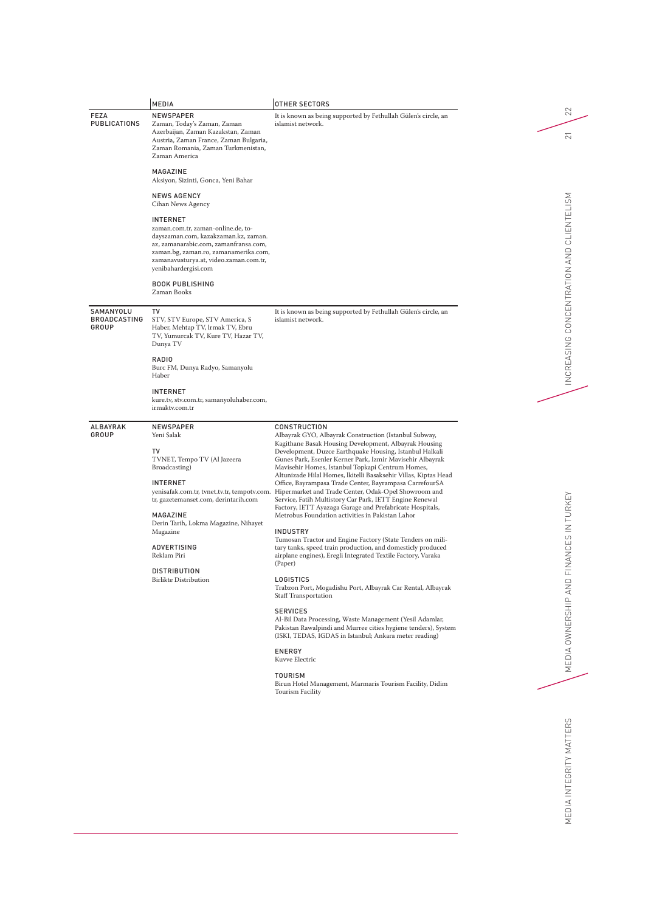|                                           | MEDIA                                                                                                                                                                                                                                                                                                                                        | OTHER SECTORS                                                                                                                                                                                                                                                                                                                                                                                                                                                                                                                                                                                                                                                                                                                                                                                                                                                                                                                                                                                                                                                                                                                                                                                                                                                                                                                                              |                                                           |
|-------------------------------------------|----------------------------------------------------------------------------------------------------------------------------------------------------------------------------------------------------------------------------------------------------------------------------------------------------------------------------------------------|------------------------------------------------------------------------------------------------------------------------------------------------------------------------------------------------------------------------------------------------------------------------------------------------------------------------------------------------------------------------------------------------------------------------------------------------------------------------------------------------------------------------------------------------------------------------------------------------------------------------------------------------------------------------------------------------------------------------------------------------------------------------------------------------------------------------------------------------------------------------------------------------------------------------------------------------------------------------------------------------------------------------------------------------------------------------------------------------------------------------------------------------------------------------------------------------------------------------------------------------------------------------------------------------------------------------------------------------------------|-----------------------------------------------------------|
| FEZA<br>PUBLICATIONS                      | <b>NEWSPAPER</b><br>Zaman, Today's Zaman, Zaman<br>Azerbaijan, Zaman Kazakstan, Zaman<br>Austria, Zaman France, Zaman Bulgaria,<br>Zaman Romania, Zaman Turkmenistan,<br>Zaman America                                                                                                                                                       | It is known as being supported by Fethullah Gülen's circle, an<br>islamist network.                                                                                                                                                                                                                                                                                                                                                                                                                                                                                                                                                                                                                                                                                                                                                                                                                                                                                                                                                                                                                                                                                                                                                                                                                                                                        | 22<br>$\overline{2}$                                      |
|                                           | MAGAZINE<br>Aksiyon, Sizinti, Gonca, Yeni Bahar                                                                                                                                                                                                                                                                                              |                                                                                                                                                                                                                                                                                                                                                                                                                                                                                                                                                                                                                                                                                                                                                                                                                                                                                                                                                                                                                                                                                                                                                                                                                                                                                                                                                            |                                                           |
|                                           | <b>NEWS AGENCY</b><br>Cihan News Agency                                                                                                                                                                                                                                                                                                      |                                                                                                                                                                                                                                                                                                                                                                                                                                                                                                                                                                                                                                                                                                                                                                                                                                                                                                                                                                                                                                                                                                                                                                                                                                                                                                                                                            |                                                           |
|                                           | <b>INTERNET</b><br>zaman.com.tr, zaman-online.de, to-<br>dayszaman.com, kazakzaman.kz, zaman.<br>az, zamanarabic.com, zamanfransa.com,<br>zaman.bg, zaman.ro, zamanamerika.com,<br>zamanavusturya.at, video.zaman.com.tr,<br>yenibahardergisi.com                                                                                            |                                                                                                                                                                                                                                                                                                                                                                                                                                                                                                                                                                                                                                                                                                                                                                                                                                                                                                                                                                                                                                                                                                                                                                                                                                                                                                                                                            | INCREASING CONCENTRATION AND CLIENTELISM                  |
|                                           | <b>BOOK PUBLISHING</b><br>Zaman Books                                                                                                                                                                                                                                                                                                        |                                                                                                                                                                                                                                                                                                                                                                                                                                                                                                                                                                                                                                                                                                                                                                                                                                                                                                                                                                                                                                                                                                                                                                                                                                                                                                                                                            |                                                           |
| SAMANYOLU<br><b>BROADCASTING</b><br>GROUP | TV<br>STV, STV Europe, STV America, S<br>Haber, Mehtap TV, Irmak TV, Ebru<br>TV, Yumurcak TV, Kure TV, Hazar TV,<br>Dunya TV                                                                                                                                                                                                                 | It is known as being supported by Fethullah Gülen's circle, an<br>islamist network.                                                                                                                                                                                                                                                                                                                                                                                                                                                                                                                                                                                                                                                                                                                                                                                                                                                                                                                                                                                                                                                                                                                                                                                                                                                                        |                                                           |
|                                           | RADIO<br>Burc FM, Dunya Radyo, Samanyolu<br>Haber                                                                                                                                                                                                                                                                                            |                                                                                                                                                                                                                                                                                                                                                                                                                                                                                                                                                                                                                                                                                                                                                                                                                                                                                                                                                                                                                                                                                                                                                                                                                                                                                                                                                            |                                                           |
|                                           | <b>INTERNET</b><br>kure.tv, stv.com.tr, samanyoluhaber.com,<br>irmaktv.com.tr                                                                                                                                                                                                                                                                |                                                                                                                                                                                                                                                                                                                                                                                                                                                                                                                                                                                                                                                                                                                                                                                                                                                                                                                                                                                                                                                                                                                                                                                                                                                                                                                                                            |                                                           |
| ALBAYRAK<br>GROUP                         | <b>NEWSPAPER</b><br>Yeni Salak<br>T٧<br>TVNET, Tempo TV (Al Jazeera<br>Broadcasting)<br><b>INTERNET</b><br>yenisafak.com.tr, tvnet.tv.tr, tempotv.com.<br>tr, gazetemanset.com, derintarih.com<br>MAGAZINE<br>Derin Tarih, Lokma Magazine, Nihayet<br>Magazine<br>ADVERTISING<br>Reklam Piri<br><b>DISTRIBUTION</b><br>Birlikte Distribution | CONSTRUCTION<br>Albayrak GYO, Albayrak Construction (Istanbul Subway,<br>Kagithane Basak Housing Development, Albayrak Housing<br>Development, Duzce Earthquake Housing, Istanbul Halkali<br>Gunes Park, Esenler Kerner Park, Izmir Mavisehir Albayrak<br>Mavisehir Homes, Istanbul Topkapi Centrum Homes,<br>Altunizade Hilal Homes, lkitelli Basaksehir Villas, Kiptas Head<br>Office, Bayrampasa Trade Center, Bayrampasa CarrefourSA<br>Hipermarket and Trade Center, Odak-Opel Showroom and<br>Service, Fatih Multistory Car Park, IETT Engine Renewal<br>Factory, IETT Ayazaga Garage and Prefabricate Hospitals,<br>Metrobus Foundation activities in Pakistan Lahor<br><b>INDUSTRY</b><br>Tumosan Tractor and Engine Factory (State Tenders on mili-<br>tary tanks, speed train production, and domesticly produced<br>airplane engines), Eregli Integrated Textile Factory, Varaka<br>(Paper)<br>LOGISTICS<br>Trabzon Port, Mogadishu Port, Albayrak Car Rental, Albayrak<br><b>Staff Transportation</b><br><b>SERVICES</b><br>Al-Bil Data Processing, Waste Management (Yesil Adamlar,<br>Pakistan Rawalpindi and Murree cities hygiene tenders), System<br>(ISKI, TEDAS, IGDAS in Istanbul; Ankara meter reading)<br>ENERGY<br>Kuvve Electric<br><b>TOURISM</b><br>Birun Hotel Management, Marmaris Tourism Facility, Didim<br>Tourism Facility | FINANCES IN TURKEY<br>$\hfill \Box$<br>MEDIA OWNERSHIP AN |
|                                           |                                                                                                                                                                                                                                                                                                                                              |                                                                                                                                                                                                                                                                                                                                                                                                                                                                                                                                                                                                                                                                                                                                                                                                                                                                                                                                                                                                                                                                                                                                                                                                                                                                                                                                                            | EDIA INTEGRITY MATTERS<br>⋝                               |